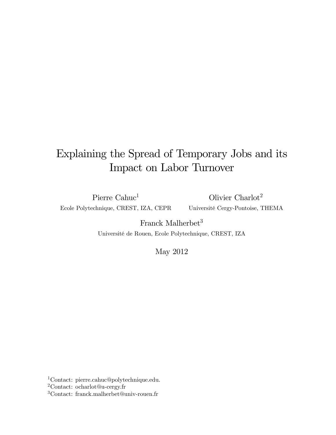# Explaining the Spread of Temporary Jobs and its Impact on Labor Turnover

Pierre Cahuc<sup>1</sup> Ecole Polytechnique, CREST, IZA, CEPR

Olivier Charlot<sup>2</sup> UniversitÈ Cergy-Pontoise, THEMA

Franck Malherbet<sup>3</sup> UniversitÈ de Rouen, Ecole Polytechnique, CREST, IZA

May 2012

 $^1\mathrm{Context:}$  pierre.cahuc@polytechnique.edu.

<sup>2</sup>Contact: ocharlot@u-cergy.fr

<sup>3</sup>Contact: franck.malherbet@univ-rouen.fr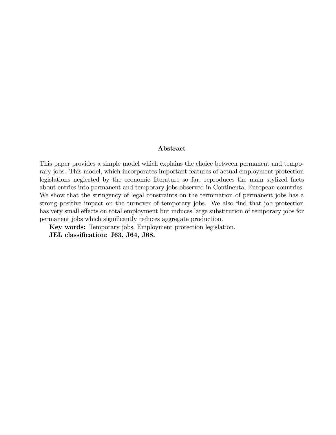#### Abstract

This paper provides a simple model which explains the choice between permanent and temporary jobs. This model, which incorporates important features of actual employment protection legislations neglected by the economic literature so far, reproduces the main stylized facts about entries into permanent and temporary jobs observed in Continental European countries. We show that the stringency of legal constraints on the termination of permanent jobs has a strong positive impact on the turnover of temporary jobs. We also find that job protection has very small effects on total employment but induces large substitution of temporary jobs for permanent jobs which significantly reduces aggregate production.

Key words: Temporary jobs, Employment protection legislation.

JEL classification: J63, J64, J68.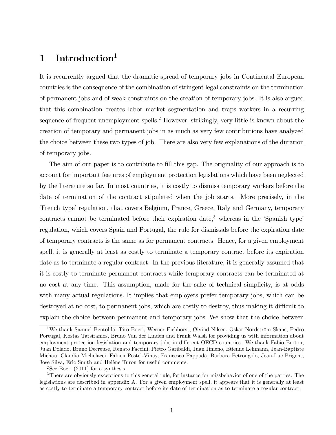# 1 Introduction $1$

It is recurrently argued that the dramatic spread of temporary jobs in Continental European countries is the consequence of the combination of stringent legal constraints on the termination of permanent jobs and of weak constraints on the creation of temporary jobs. It is also argued that this combination creates labor market segmentation and traps workers in a recurring sequence of frequent unemployment spells.<sup>2</sup> However, strikingly, very little is known about the creation of temporary and permanent jobs in as much as very few contributions have analyzed the choice between these two types of job. There are also very few explanations of the duration of temporary jobs.

The aim of our paper is to contribute to fill this gap. The originality of our approach is to account for important features of employment protection legislations which have been neglected by the literature so far. In most countries, it is costly to dismiss temporary workers before the date of termination of the contract stipulated when the job starts. More precisely, in the French type' regulation, that covers Belgium, France, Greece, Italy and Germany, temporary contracts cannot be terminated before their expiration date,<sup>3</sup> whereas in the 'Spanish type' regulation, which covers Spain and Portugal, the rule for dismissals before the expiration date of temporary contracts is the same as for permanent contracts. Hence, for a given employment spell, it is generally at least as costly to terminate a temporary contract before its expiration date as to terminate a regular contract. In the previous literature, it is generally assumed that it is costly to terminate permanent contracts while temporary contracts can be terminated at no cost at any time. This assumption, made for the sake of technical simplicity, is at odds with many actual regulations. It implies that employers prefer temporary jobs, which can be destroyed at no cost, to permanent jobs, which are costly to destroy, thus making it difficult to explain the choice between permanent and temporary jobs. We show that the choice between

<sup>&</sup>lt;sup>1</sup>We thank Samuel Bentolila, Tito Boeri, Werner Eichhorst, Øivind Nilsen, Oskar Nordström Skans, Pedro Portugal, Kostas Tatsiramos, Bruno Van der Linden and Frank Walsh for providing us with information about employment protection legislation and temporary jobs in different OECD countries. We thank Fabio Berton, Juan Dolado, Bruno Decreuse, Renato Faccini, Pietro Garibaldi, Juan Jimeno, Etienne Lehmann, Jean-Baptiste Michau, Claudio Michelacci, Fabien Postel-Vinay, Francesco Pappadà, Barbara Petrongolo, Jean-Luc Prigent, Jose Silva, Eric Smith and Hélène Turon for useful comments.

<sup>&</sup>lt;sup>2</sup>See Boeri (2011) for a synthesis.

<sup>3</sup>There are obviously exceptions to this general rule, for instance for missbehavior of one of the parties. The legislations are described in appendix A. For a given employment spell, it appears that it is generally at least as costly to terminate a temporary contract before its date of termination as to terminate a regular contract.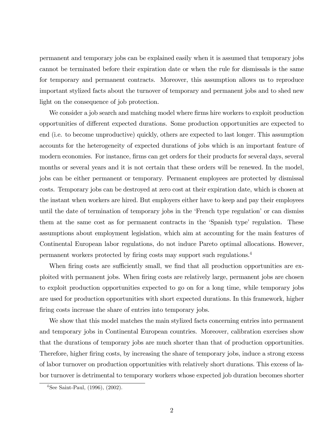permanent and temporary jobs can be explained easily when it is assumed that temporary jobs cannot be terminated before their expiration date or when the rule for dismissals is the same for temporary and permanent contracts. Moreover, this assumption allows us to reproduce important stylized facts about the turnover of temporary and permanent jobs and to shed new light on the consequence of job protection.

We consider a job search and matching model where firms hire workers to exploit production opportunities of different expected durations. Some production opportunities are expected to end (i.e. to become unproductive) quickly, others are expected to last longer. This assumption accounts for the heterogeneity of expected durations of jobs which is an important feature of modern economies. For instance, firms can get orders for their products for several days, several months or several years and it is not certain that these orders will be renewed. In the model, jobs can be either permanent or temporary. Permanent employees are protected by dismissal costs. Temporary jobs can be destroyed at zero cost at their expiration date, which is chosen at the instant when workers are hired. But employers either have to keep and pay their employees until the date of termination of temporary jobs in the 'French type regulation' or can dismiss them at the same cost as for permanent contracts in the 'Spanish type' regulation. These assumptions about employment legislation, which aim at accounting for the main features of Continental European labor regulations, do not induce Pareto optimal allocations. However, permanent workers protected by firing costs may support such regulations.<sup>4</sup>

When firing costs are sufficiently small, we find that all production opportunities are exploited with permanent jobs. When firing costs are relatively large, permanent jobs are chosen to exploit production opportunities expected to go on for a long time, while temporary jobs are used for production opportunities with short expected durations. In this framework, higher firing costs increase the share of entries into temporary jobs.

We show that this model matches the main stylized facts concerning entries into permanent and temporary jobs in Continental European countries. Moreover, calibration exercises show that the durations of temporary jobs are much shorter than that of production opportunities. Therefore, higher firing costs, by increasing the share of temporary jobs, induce a strong excess of labor turnover on production opportunities with relatively short durations. This excess of labor turnover is detrimental to temporary workers whose expected job duration becomes shorter

<sup>4</sup>See Saint-Paul, (1996), (2002).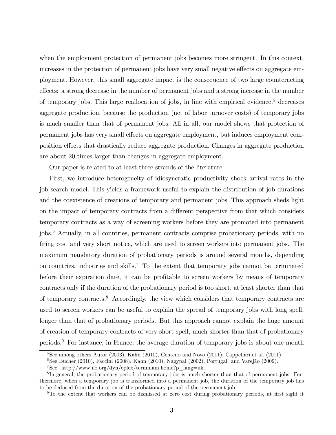when the employment protection of permanent jobs becomes more stringent. In this context, increases in the protection of permanent jobs have very small negative effects on aggregate employment. However, this small aggregate impact is the consequence of two large counteracting effects: a strong decrease in the number of permanent jobs and a strong increase in the number of temporary jobs. This large reallocation of jobs, in line with empirical evidence,<sup>5</sup> decreases aggregate production, because the production (net of labor turnover costs) of temporary jobs is much smaller than that of permanent jobs. All in all, our model shows that protection of permanent jobs has very small effects on aggregate employment, but induces employment composition effects that drastically reduce aggregate production. Changes in aggregate production are about 20 times larger than changes in aggregate employment.

Our paper is related to at least three strands of the literature.

First, we introduce heterogeneity of idiosyncratic productivity shock arrival rates in the job search model. This yields a framework useful to explain the distribution of job durations and the coexistence of creations of temporary and permanent jobs. This approach sheds light on the impact of temporary contracts from a different perspective from that which considers temporary contracts as a way of screening workers before they are promoted into permanent jobs.<sup>6</sup> Actually, in all countries, permanent contracts comprise probationary periods, with no firing cost and very short notice, which are used to screen workers into permanent jobs. The maximum mandatory duration of probationary periods is around several months, depending on countries, industries and skills.<sup>7</sup> To the extent that temporary jobs cannot be terminated before their expiration date, it can be profitable to screen workers by means of temporary contracts only if the duration of the probationary period is too short, at least shorter than that of temporary contracts.<sup>8</sup> Accordingly, the view which considers that temporary contracts are used to screen workers can be useful to explain the spread of temporary jobs with long spell, longer than that of probationary periods. But this approach cannot explain the huge amount of creation of temporary contracts of very short spell, much shorter than that of probationary periods.<sup>9</sup> For instance, in France, the average duration of temporary jobs is about one month

 $5$ See among others Autor (2003), Kahn (2010), Centeno and Novo (2011), Cappellari et al. (2011).

 $6$ See Bucher (2010), Faccini (2008), Kahn (2010), Nagypal (2002), Portugal and Varejão (2009).

<sup>7</sup>See: http://www.ilo.org/dyn/eplex/termmain.home?p\_lang=uk.

<sup>&</sup>lt;sup>8</sup>In general, the probationary period of temporary jobs is much shorter than that of permanent jobs. Furthermore, when a temporary job is transformed into a permanent job, the duration of the temporary job has to be deduced from the duration of the probationary period of the permanent job.

<sup>&</sup>lt;sup>9</sup>To the extent that workers can be dismissed at zero cost during probationary periods, at first sight it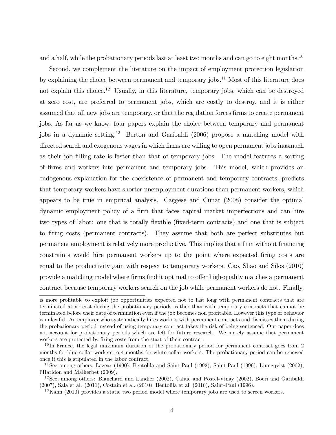and a half, while the probationary periods last at least two months and can go to eight months.<sup>10</sup>

Second, we complement the literature on the impact of employment protection legislation by explaining the choice between permanent and temporary jobs.<sup>11</sup> Most of this literature does not explain this choice.<sup>12</sup> Usually, in this literature, temporary jobs, which can be destroyed at zero cost, are preferred to permanent jobs, which are costly to destroy, and it is either assumed that all new jobs are temporary, or that the regulation forces firms to create permanent jobs. As far as we know, four papers explain the choice between temporary and permanent jobs in a dynamic setting.<sup>13</sup> Berton and Garibaldi (2006) propose a matching model with directed search and exogenous wages in which firms are willing to open permanent jobs inasmuch as their job filling rate is faster than that of temporary jobs. The model features a sorting of Örms and workers into permanent and temporary jobs. This model, which provides an endogenous explanation for the coexistence of permanent and temporary contracts, predicts that temporary workers have shorter unemployment durations than permanent workers, which appears to be true in empirical analysis. Caggese and Cunat (2008) consider the optimal dynamic employment policy of a firm that faces capital market imperfections and can hire two types of labor: one that is totally flexible (fixed-term contracts) and one that is subject to firing costs (permanent contracts). They assume that both are perfect substitutes but permanent employment is relatively more productive. This implies that a firm without financing constraints would hire permanent workers up to the point where expected firing costs are equal to the productivity gain with respect to temporary workers. Cao, Shao and Silos (2010) provide a matching model where firms find it optimal to offer high-quality matches a permanent contract because temporary workers search on the job while permanent workers do not. Finally,

is more profitable to exploit job opportunities expected not to last long with permanent contracts that are terminated at no cost during the probationary periods, rather than with temporary contracts that cannot be terminated before their date of termination even if the job becomes non profitable. However this type of behavior is unlawful. An employer who systematically hires workers with permanent contracts and dismisses them during the probationary period instead of using temporary contract takes the risk of being sentenced. Our paper does not account for probationary periods which are left for future research. We merely assume that permanent workers are protected by firing costs from the start of their contract.

 $10$  In France, the legal maximum duration of the probationary period for permanent contract goes from 2 months for blue collar workers to 4 months for white collar workers. The probationary period can be renewed once if this is stipulated in the labor contract.

<sup>11</sup>See among others, Lazear (1990), Bentolila and Saint-Paul (1992), Saint-Paul (1996), Ljungqvist (2002), l'Haridon and Malherbet (2009).

<sup>12</sup>See, among others: Blanchard and Landier (2002), Cahuc and Postel-Vinay (2002), Boeri and Garibaldi (2007), Sala et al. (2011), Costain et al. (2010), Bentolila et al. (2010), Saint-Paul (1996).

 $13$ Kahn (2010) provides a static two period model where temporary jobs are used to screen workers.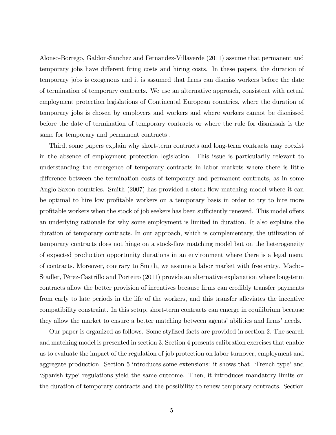Alonso-Borrego, Galdon-Sanchez and Fernandez-Villaverde (2011) assume that permanent and temporary jobs have different firing costs and hiring costs. In these papers, the duration of temporary jobs is exogenous and it is assumed that Örms can dismiss workers before the date of termination of temporary contracts. We use an alternative approach, consistent with actual employment protection legislations of Continental European countries, where the duration of temporary jobs is chosen by employers and workers and where workers cannot be dismissed before the date of termination of temporary contracts or where the rule for dismissals is the same for temporary and permanent contracts .

Third, some papers explain why short-term contracts and long-term contracts may coexist in the absence of employment protection legislation. This issue is particularily relevant to understanding the emergence of temporary contracts in labor markets where there is little difference between the termination costs of temporary and permanent contracts, as in some Anglo-Saxon countries. Smith (2007) has provided a stock-flow matching model where it can be optimal to hire low profitable workers on a temporary basis in order to try to hire more profitable workers when the stock of job seekers has been sufficiently renewed. This model offers an underlying rationale for why some employment is limited in duration. It also explains the duration of temporary contracts. In our approach, which is complementary, the utilization of temporary contracts does not hinge on a stock-flow matching model but on the heterogeneity of expected production opportunity durations in an environment where there is a legal menu of contracts. Moreover, contrary to Smith, we assume a labor market with free entry. Macho-Stadler, PÈrez-Castrillo and Porteiro (2011) provide an alternative explanation where long-term contracts allow the better provision of incentives because firms can credibly transfer payments from early to late periods in the life of the workers, and this transfer alleviates the incentive compatibility constraint. In this setup, short-term contracts can emerge in equilibrium because they allow the market to ensure a better matching between agents' abilities and firms' needs.

Our paper is organized as follows. Some stylized facts are provided in section 2. The search and matching model is presented in section 3. Section 4 presents calibration exercises that enable us to evaluate the impact of the regulation of job protection on labor turnover, employment and aggregate production. Section 5 introduces some extensions: it shows that 'French type' and Spanish type' regulations yield the same outcome. Then, it introduces mandatory limits on the duration of temporary contracts and the possibility to renew temporary contracts. Section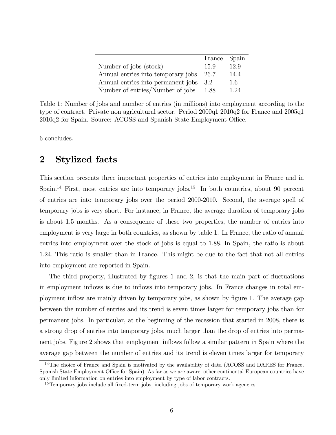|                                        | France Spain |      |
|----------------------------------------|--------------|------|
| Number of jobs (stock)                 | 15.9         | 12.9 |
| Annual entries into temporary jobs     | 26.7         | 14.4 |
| Annual entries into permanent jobs 3.2 |              | 1.6  |
| Number of entries/Number of jobs       | 1.88         | 1 24 |

Table 1: Number of jobs and number of entries (in millions) into employment according to the type of contract. Private non agricultural sector. Period 2000q1 2010q2 for France and 2005q1  $2010q2$  for Spain. Source: ACOSS and Spanish State Employment Office.

6 concludes.

## 2 Stylized facts

This section presents three important properties of entries into employment in France and in Spain.<sup>14</sup> First, most entries are into temporary jobs.<sup>15</sup> In both countries, about 90 percent of entries are into temporary jobs over the period 2000-2010. Second, the average spell of temporary jobs is very short. For instance, in France, the average duration of temporary jobs is about 1.5 months. As a consequence of these two properties, the number of entries into employment is very large in both countries, as shown by table 1. In France, the ratio of annual entries into employment over the stock of jobs is equal to 1.88. In Spain, the ratio is about 1.24. This ratio is smaller than in France. This might be due to the fact that not all entries into employment are reported in Spain.

The third property, illustrated by figures 1 and 2, is that the main part of fluctuations in employment inflows is due to inflows into temporary jobs. In France changes in total employment inflow are mainly driven by temporary jobs, as shown by figure 1. The average gap between the number of entries and its trend is seven times larger for temporary jobs than for permanent jobs. In particular, at the beginning of the recession that started in 2008, there is a strong drop of entries into temporary jobs, much larger than the drop of entries into permanent jobs. Figure 2 shows that employment ináows follow a similar pattern in Spain where the average gap between the number of entries and its trend is eleven times larger for temporary

<sup>&</sup>lt;sup>14</sup>The choice of France and Spain is motivated by the availability of data (ACOSS and DARES for France, Spanish State Employment Office for Spain). As far as we are aware, other continental European countries have only limited information on entries into employment by type of labor contracts.

<sup>&</sup>lt;sup>15</sup>Temporary jobs include all fixed-term jobs, including jobs of temporary work agencies.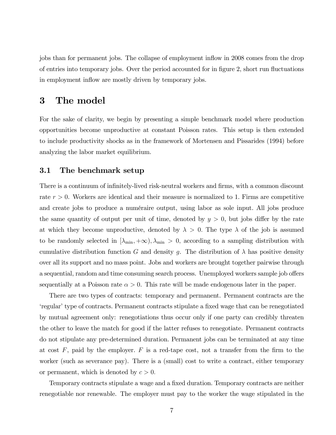jobs than for permanent jobs. The collapse of employment inflow in 2008 comes from the drop of entries into temporary jobs. Over the period accounted for in figure 2, short run fluctuations in employment inflow are mostly driven by temporary jobs.

## 3 The model

For the sake of clarity, we begin by presenting a simple benchmark model where production opportunities become unproductive at constant Poisson rates. This setup is then extended to include productivity shocks as in the framework of Mortensen and Pissarides (1994) before analyzing the labor market equilibrium.

#### 3.1 The benchmark setup

There is a continuum of infinitely-lived risk-neutral workers and firms, with a common discount rate  $r > 0$ . Workers are identical and their measure is normalized to 1. Firms are competitive and create jobs to produce a numéraire output, using labor as sole input. All jobs produce the same quantity of output per unit of time, denoted by  $y > 0$ , but jobs differ by the rate at which they become unproductive, denoted by  $\lambda > 0$ . The type  $\lambda$  of the job is assumed to be randomly selected in  $[\lambda_{\min}, +\infty]$ ,  $\lambda_{\min} > 0$ , according to a sampling distribution with cumulative distribution function G and density g. The distribution of  $\lambda$  has positive density over all its support and no mass point. Jobs and workers are brought together pairwise through a sequential, random and time consuming search process. Unemployed workers sample job offers sequentially at a Poisson rate  $\alpha > 0$ . This rate will be made endogenous later in the paper.

There are two types of contracts: temporary and permanent. Permanent contracts are the ëregularítype of contracts. Permanent contracts stipulate a Öxed wage that can be renegotiated by mutual agreement only: renegotiations thus occur only if one party can credibly threaten the other to leave the match for good if the latter refuses to renegotiate. Permanent contracts do not stipulate any pre-determined duration. Permanent jobs can be terminated at any time at cost  $F$ , paid by the employer.  $F$  is a red-tape cost, not a transfer from the firm to the worker (such as severance pay). There is a (small) cost to write a contract, either temporary or permanent, which is denoted by  $c > 0$ .

Temporary contracts stipulate a wage and a Öxed duration. Temporary contracts are neither renegotiable nor renewable. The employer must pay to the worker the wage stipulated in the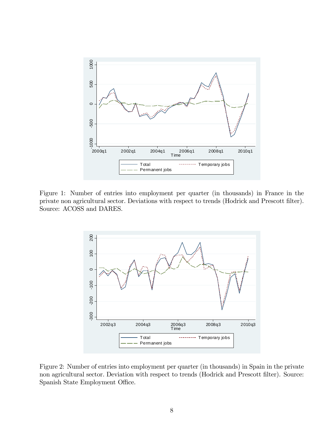

Figure 1: Number of entries into employment per quarter (in thousands) in France in the private non agricultural sector. Deviations with respect to trends (Hodrick and Prescott filter). Source: ACOSS and DARES.



Figure 2: Number of entries into employment per quarter (in thousands) in Spain in the private non agricultural sector. Deviation with respect to trends (Hodrick and Prescott filter). Source: Spanish State Employment Office.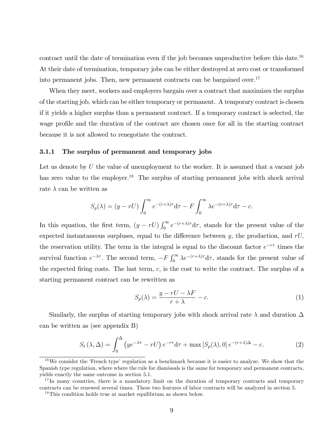contract until the date of termination even if the job becomes unproductive before this date.<sup>16</sup> At their date of termination, temporary jobs can be either destroyed at zero cost or transformed into permanent jobs. Then, new permanent contracts can be bargained over.<sup>17</sup>

When they meet, workers and employers bargain over a contract that maximizes the surplus of the starting job, which can be either temporary or permanent. A temporary contract is chosen if it yields a higher surplus than a permanent contract. If a temporary contract is selected, the wage profile and the duration of the contract are chosen once for all in the starting contract because it is not allowed to renegotiate the contract.

#### 3.1.1 The surplus of permanent and temporary jobs

Let us denote by U the value of unemployment to the worker. It is assumed that a vacant job has zero value to the employer.<sup>18</sup> The surplus of starting permanent jobs with shock arrival rate  $\lambda$  can be written as

$$
S_p(\lambda) = (y - rU) \int_0^\infty e^{-(r+\lambda)\tau} d\tau - F \int_0^\infty \lambda e^{-(r+\lambda)\tau} d\tau - c.
$$

In this equation, the first term,  $(y - rU) \int_0^\infty e^{-(r+\lambda)\tau} d\tau$ , stands for the present value of the expected instantaneous surpluses, equal to the difference between  $y$ , the production, and  $rU$ , the reservation utility. The term in the integral is equal to the discount factor  $e^{-r\tau}$  times the survival function  $e^{-\lambda \tau}$ . The second term,  $-F \int_0^{\infty} \lambda e^{-(r+\lambda)\tau} d\tau$ , stands for the present value of the expected firing costs. The last term,  $c$ , is the cost to write the contract. The surplus of a starting permanent contract can be rewritten as

$$
S_p(\lambda) = \frac{y - rU - \lambda F}{r + \lambda} - c.
$$
 (1)

Similarly, the surplus of starting temporary jobs with shock arrival rate  $\lambda$  and duration  $\Delta$ can be written as (see appendix B)

$$
S_t(\lambda, \Delta) = \int_0^{\Delta} \left( y e^{-\lambda \tau} - rU \right) e^{-r\tau} d\tau + \max \left[ S_p(\lambda), 0 \right] e^{-(r+\lambda)\Delta} - c. \tag{2}
$$

 $16$ We consider the 'French type' regulation as a benchmark because it is easier to analyze. We show that the Spanish type regulation, where where the rule for dismissals is the same for temporary and permanent contracts, yields exactly the same outcome in section 5.1.

 $17$  In many countries, there is a mandatory limit on the duration of temporary contracts and temporary contracts can be renewed several times. These two features of labor contracts will be analyzed in section 5.

<sup>18</sup>This condition holds true at market equilibrium as shown below.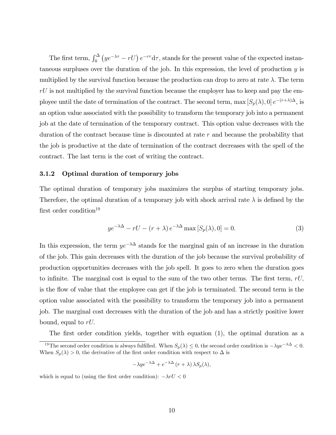The first term,  $\int_0^{\Delta} (ye^{-\lambda \tau} - rU) e^{-r\tau} d\tau$ , stands for the present value of the expected instantaneous surpluses over the duration of the job. In this expression, the level of production  $y$  is multiplied by the survival function because the production can drop to zero at rate  $\lambda$ . The term  $rU$  is not multiplied by the survival function because the employer has to keep and pay the employee until the date of termination of the contract. The second term,  $\max [S_p(\lambda), 0] e^{-(r+\lambda)\Delta}$ , is an option value associated with the possibility to transform the temporary job into a permanent job at the date of termination of the temporary contract. This option value decreases with the duration of the contract because time is discounted at rate r and because the probability that the job is productive at the date of termination of the contract decreases with the spell of the contract. The last term is the cost of writing the contract.

#### 3.1.2 Optimal duration of temporary jobs

The optimal duration of temporary jobs maximizes the surplus of starting temporary jobs. Therefore, the optimal duration of a temporary job with shock arrival rate  $\lambda$  is defined by the first order condition $19$ 

$$
ye^{-\lambda\Delta} - rU - (r+\lambda)e^{-\lambda\Delta}\max[S_p(\lambda),0] = 0.
$$
\n(3)

In this expression, the term  $ye^{-\lambda\Delta}$  stands for the marginal gain of an increase in the duration of the job. This gain decreases with the duration of the job because the survival probability of production opportunities decreases with the job spell. It goes to zero when the duration goes to infinite. The marginal cost is equal to the sum of the two other terms. The first term,  $rU$ . is the flow of value that the employee can get if the job is terminated. The second term is the option value associated with the possibility to transform the temporary job into a permanent job. The marginal cost decreases with the duration of the job and has a strictly positive lower bound, equal to  $rU$ .

The first order condition yields, together with equation  $(1)$ , the optimal duration as a

$$
-\lambda ye^{-\lambda\Delta} + e^{-\lambda\Delta}(r+\lambda)\lambda S_p(\lambda),
$$

which is equal to (using the first order condition):  $-\lambda rU < 0$ 

<sup>&</sup>lt;sup>19</sup>The second order condition is always fulfilled. When  $S_p(\lambda) \leq 0$ , the second order condition is  $-\lambda ye^{-\lambda\Delta} < 0$ . When  $S_p(\lambda) > 0$ , the derivative of the first order condition with respect to  $\Delta$  is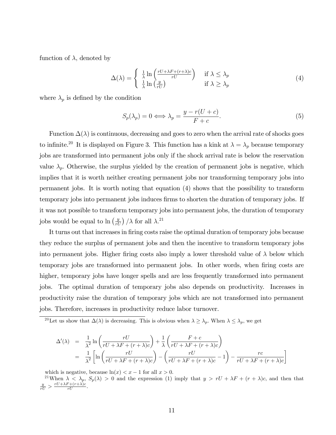function of  $\lambda$ , denoted by

$$
\Delta(\lambda) = \begin{cases} \frac{1}{\lambda} \ln \left( \frac{rU + \lambda F + (r + \lambda)c}{rU} \right) & \text{if } \lambda \le \lambda_p \\ \frac{1}{\lambda} \ln \left( \frac{y}{rU} \right) & \text{if } \lambda \ge \lambda_p \end{cases}
$$
(4)

where  $\lambda_p$  is defined by the condition

$$
S_p(\lambda_p) = 0 \Longleftrightarrow \lambda_p = \frac{y - r(U + c)}{F + c}.
$$
\n<sup>(5)</sup>

Function  $\Delta(\lambda)$  is continuous, decreasing and goes to zero when the arrival rate of shocks goes to infinite.<sup>20</sup> It is displayed on Figure 3. This function has a kink at  $\lambda = \lambda_p$  because temporary jobs are transformed into permanent jobs only if the shock arrival rate is below the reservation value  $\lambda_p$ . Otherwise, the surplus yielded by the creation of permanent jobs is negative, which implies that it is worth neither creating permanent jobs nor transforming temporary jobs into permanent jobs. It is worth noting that equation (4) shows that the possibility to transform temporary jobs into permanent jobs induces firms to shorten the duration of temporary jobs. If it was not possible to transform temporary jobs into permanent jobs, the duration of temporary jobs would be equal to  $\ln\left(\frac{y}{rU}\right)/\lambda$  for all  $\lambda$ .<sup>21</sup>

It turns out that increases in firing costs raise the optimal duration of temporary jobs because they reduce the surplus of permanent jobs and then the incentive to transform temporary jobs into permanent jobs. Higher firing costs also imply a lower threshold value of  $\lambda$  below which temporary jobs are transformed into permanent jobs. In other words, when firing costs are higher, temporary jobs have longer spells and are less frequently transformed into permanent jobs. The optimal duration of temporary jobs also depends on productivity. Increases in productivity raise the duration of temporary jobs which are not transformed into permanent jobs. Therefore, increases in productivity reduce labor turnover.

<sup>20</sup>Let us show that  $\Delta(\lambda)$  is decreasing. This is obvious when  $\lambda \geq \lambda_p$ . When  $\lambda \leq \lambda_p$ , we get

$$
\Delta'(\lambda) = \frac{1}{\lambda^2} \ln \left( \frac{rU}{rU + \lambda F + (r + \lambda)c} \right) + \frac{1}{\lambda} \left( \frac{F + c}{rU + \lambda F + (r + \lambda)c} \right)
$$
  
= 
$$
\frac{1}{\lambda^2} \left[ \ln \left( \frac{rU}{rU + \lambda F + (r + \lambda)c} \right) - \left( \frac{rU}{rU + \lambda F + (r + \lambda)c} - 1 \right) - \frac{rc}{rU + \lambda F + (r + \lambda)c} \right]
$$

which is negative, because  $ln(x) < x - 1$  for all  $x > 0$ .

<sup>21</sup>When  $\lambda < \lambda_p$ ,  $S_p(\lambda) > 0$  and the expression (1) imply that  $y > rU + \lambda F + (r + \lambda)c$ , and then that  $\frac{y}{rU} > \frac{rU + \lambda F + (r + \lambda)c}{rU}$ .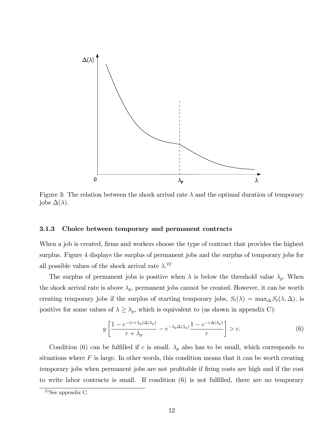

Figure 3: The relation between the shock arrival rate  $\lambda$  and the optimal duration of temporary jobs  $\Delta(\lambda)$ .

#### 3.1.3 Choice between temporary and permanent contracts

When a job is created, firms and workers choose the type of contract that provides the highest surplus. Figure 4 displays the surplus of permanent jobs and the surplus of temporary jobs for all possible values of the shock arrival rate  $\lambda^{.22}$ 

The surplus of permanent jobs is positive when  $\lambda$  is below the threshold value  $\lambda_p$ . When the shock arrival rate is above  $\lambda_p$ , permanent jobs cannot be created. However, it can be worth creating temporary jobs if the surplus of starting temporary jobs,  $S_t(\lambda) = \max_{\Delta} S_t(\lambda, \Delta)$ , is positive for some values of  $\lambda \geq \lambda_p$ , which is equivalent to (as shown in appendix C):

$$
y\left[\frac{1-e^{-(r+\lambda_p)\Delta(\lambda_p)}}{r+\lambda_p} - e^{-\lambda_p\Delta(\lambda_p)}\frac{1-e^{-r\Delta(\lambda_p)}}{r}\right] > c.
$$
 (6)

Condition (6) can be fulfilled if c is small.  $\lambda_p$  also has to be small, which corresponds to situations where  $F$  is large. In other words, this condition means that it can be worth creating temporary jobs when permanent jobs are not profitable if firing costs are high and if the cost to write labor contracts is small. If condition  $(6)$  is not fulfilled, there are no temporary

 $^{22}\mathrm{See}$  appendix C.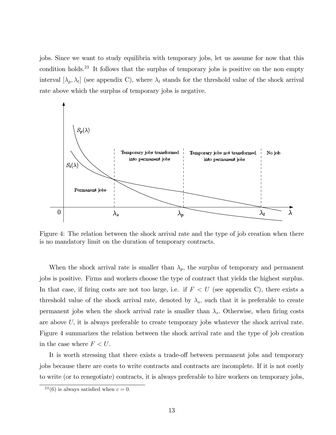jobs. Since we want to study equilibria with temporary jobs, let us assume for now that this condition holds.<sup>23</sup> It follows that the surplus of temporary jobs is positive on the non empty interval  $[\lambda_p, \lambda_t]$  (see appendix C), where  $\lambda_t$  stands for the threshold value of the shock arrival rate above which the surplus of temporary jobs is negative.



Figure 4: The relation between the shock arrival rate and the type of job creation when there is no mandatory limit on the duration of temporary contracts.

When the shock arrival rate is smaller than  $\lambda_p$ , the surplus of temporary and permanent jobs is positive. Firms and workers choose the type of contract that yields the highest surplus. In that case, if firing costs are not too large, i.e. if  $F < U$  (see appendix C), there exists a threshold value of the shock arrival rate, denoted by  $\lambda_s$ , such that it is preferable to create permanent jobs when the shock arrival rate is smaller than  $\lambda_s$ . Otherwise, when firing costs are above  $U$ , it is always preferable to create temporary jobs whatever the shock arrival rate. Figure 4 summarizes the relation between the shock arrival rate and the type of job creation in the case where  $F < U$ .

It is worth stressing that there exists a trade-off between permanent jobs and temporary jobs because there are costs to write contracts and contracts are incomplete. If it is not costly to write (or to renegotiate) contracts, it is always preferable to hire workers on temporary jobs,

<sup>&</sup>lt;sup>23</sup>(6) is always satisfied when  $c = 0$ .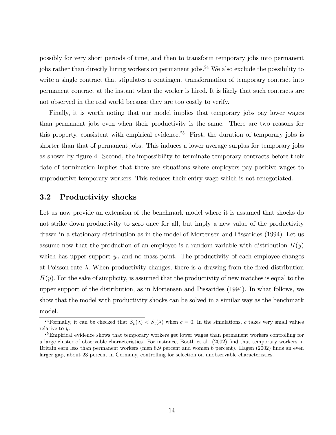possibly for very short periods of time, and then to transform temporary jobs into permanent jobs rather than directly hiring workers on permanent jobs.<sup>24</sup> We also exclude the possibility to write a single contract that stipulates a contingent transformation of temporary contract into permanent contract at the instant when the worker is hired. It is likely that such contracts are not observed in the real world because they are too costly to verify.

Finally, it is worth noting that our model implies that temporary jobs pay lower wages than permanent jobs even when their productivity is the same. There are two reasons for this property, consistent with empirical evidence.<sup>25</sup> First, the duration of temporary jobs is shorter than that of permanent jobs. This induces a lower average surplus for temporary jobs as shown by figure 4. Second, the impossibility to terminate temporary contracts before their date of termination implies that there are situations where employers pay positive wages to unproductive temporary workers. This reduces their entry wage which is not renegotiated.

#### 3.2 Productivity shocks

Let us now provide an extension of the benchmark model where it is assumed that shocks do not strike down productivity to zero once for all, but imply a new value of the productivity drawn in a stationary distribution as in the model of Mortensen and Pissarides (1994). Let us assume now that the production of an employee is a random variable with distribution  $H(y)$ which has upper support  $y_u$  and no mass point. The productivity of each employee changes at Poisson rate  $\lambda$ . When productivity changes, there is a drawing from the fixed distribution  $H(y)$ . For the sake of simplicity, is assumed that the productivity of new matches is equal to the upper support of the distribution, as in Mortensen and Pissarides (1994). In what follows, we show that the model with productivity shocks can be solved in a similar way as the benchmark model.

<sup>&</sup>lt;sup>24</sup>Formally, it can be checked that  $S_p(\lambda) < S_t(\lambda)$  when  $c = 0$ . In the simulations, c takes very small values relative to  $y$ .

<sup>&</sup>lt;sup>25</sup>Empirical evidence shows that temporary workers get lower wages than permanent workers controlling for a large cluster of observable characteristics. For instance, Booth et al. (2002) find that temporary workers in Britain earn less than permanent workers (men 8.9 percent and women 6 percent). Hagen (2002) finds an even larger gap, about 23 percent in Germany, controlling for selection on unobservable characteristics.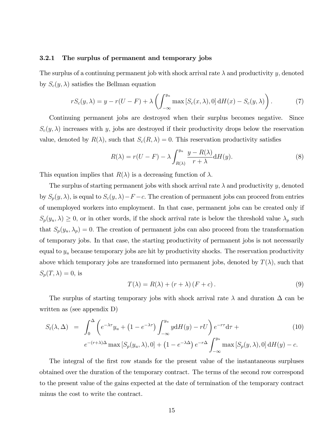#### 3.2.1 The surplus of permanent and temporary jobs

The surplus of a continuing permanent job with shock arrival rate  $\lambda$  and productivity y, denoted by  $S_c(y, \lambda)$  satisfies the Bellman equation

$$
rS_c(y,\lambda) = y - r(U - F) + \lambda \left( \int_{-\infty}^{y_u} \max \left[ S_c(x,\lambda), 0 \right] dH(x) - S_c(y,\lambda) \right). \tag{7}
$$

Continuing permanent jobs are destroyed when their surplus becomes negative. Since  $S_c(y, \lambda)$  increases with y, jobs are destroyed if their productivity drops below the reservation value, denoted by  $R(\lambda)$ , such that  $S_c(R, \lambda) = 0$ . This reservation productivity satisfies

$$
R(\lambda) = r(U - F) - \lambda \int_{R(\lambda)}^{y_u} \frac{y - R(\lambda)}{r + \lambda} dH(y).
$$
 (8)

This equation implies that  $R(\lambda)$  is a decreasing function of  $\lambda$ .

The surplus of starting permanent jobs with shock arrival rate  $\lambda$  and productivity y, denoted by  $S_p(y, \lambda)$ , is equal to  $S_c(y, \lambda) - F - c$ . The creation of permanent jobs can proceed from entries of unemployed workers into employment. In that case, permanent jobs can be created only if  $S_p(y_u, \lambda) \geq 0$ , or in other words, if the shock arrival rate is below the threshold value  $\lambda_p$  such that  $S_p(y_u, \lambda_p) = 0$ . The creation of permanent jobs can also proceed from the transformation of temporary jobs. In that case, the starting productivity of permanent jobs is not necessarily equal to  $y_u$  because temporary jobs are hit by productivity shocks. The reservation productivity above which temporary jobs are transformed into permanent jobs, denoted by  $T(\lambda)$ , such that  $S_p(T, \lambda) = 0$ , is

$$
T(\lambda) = R(\lambda) + (r + \lambda)(F + c).
$$
\n(9)

The surplus of starting temporary jobs with shock arrival rate  $\lambda$  and duration  $\Delta$  can be written as (see appendix D)

$$
S_t(\lambda, \Delta) = \int_0^{\Delta} \left( e^{-\lambda \tau} y_u + (1 - e^{-\lambda \tau}) \int_{-\infty}^{y_u} y \mathrm{d}H(y) - rU \right) e^{-r\tau} \mathrm{d}\tau +
$$
  

$$
e^{-(r+\lambda)\Delta} \max \left[ S_p(y_u, \lambda), 0 \right] + \left( 1 - e^{-\lambda \Delta} \right) e^{-r\Delta} \int_{-\infty}^{y_u} \max \left[ S_p(y, \lambda), 0 \right] \mathrm{d}H(y) - c.
$$
 (10)

The integral of the first row stands for the present value of the instantaneous surpluses obtained over the duration of the temporary contract. The terms of the second row correspond to the present value of the gains expected at the date of termination of the temporary contract minus the cost to write the contract.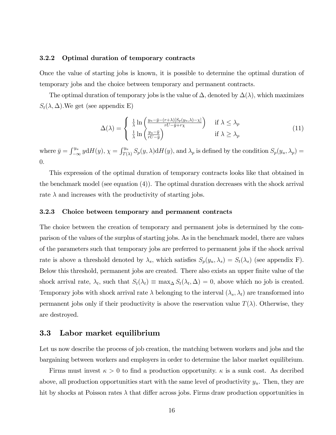#### 3.2.2 Optimal duration of temporary contracts

Once the value of starting jobs is known, it is possible to determine the optimal duration of temporary jobs and the choice between temporary and permanent contracts.

The optimal duration of temporary jobs is the value of  $\Delta$ , denoted by  $\Delta(\lambda)$ , which maximizes  $S_t(\lambda, \Delta)$ . We get (see appendix E)

$$
\Delta(\lambda) = \begin{cases} \frac{1}{\lambda} \ln \left( \frac{y_u - \bar{y} - (r + \lambda)[S_p(y_u, \lambda) - \chi]}{rU - \bar{y} + r\chi} \right) & \text{if } \lambda \le \lambda_p \\ \frac{1}{\lambda} \ln \left( \frac{y_u - \bar{y}}{rU - \bar{y}} \right) & \text{if } \lambda \ge \lambda_p \end{cases}
$$
(11)

where  $\bar{y} = \int_{-\infty}^{y_u} y \mathrm{d}H(y)$ ,  $\chi = \int_{T(\lambda)}^{y_u} S_p(y, \lambda) \mathrm{d}H(y)$ , and  $\lambda_p$  is defined by the condition  $S_p(y_u, \lambda_p) =$  $\theta$ .

This expression of the optimal duration of temporary contracts looks like that obtained in the benchmark model (see equation (4)). The optimal duration decreases with the shock arrival rate  $\lambda$  and increases with the productivity of starting jobs.

#### 3.2.3 Choice between temporary and permanent contracts

The choice between the creation of temporary and permanent jobs is determined by the comparison of the values of the surplus of starting jobs. As in the benchmark model, there are values of the parameters such that temporary jobs are preferred to permanent jobs if the shock arrival rate is above a threshold denoted by  $\lambda_s$ , which satisfies  $S_p(y_u, \lambda_s) = S_t(\lambda_s)$  (see appendix F). Below this threshold, permanent jobs are created. There also exists an upper finite value of the shock arrival rate,  $\lambda_t$ , such that  $S_t(\lambda_t) \equiv \max_{\Delta} S_t(\lambda_t, \Delta) = 0$ , above which no job is created. Temporary jobs with shock arrival rate  $\lambda$  belonging to the interval  $(\lambda_s, \lambda_t)$  are transformed into permanent jobs only if their productivity is above the reservation value  $T(\lambda)$ . Otherwise, they are destroyed.

#### 3.3 Labor market equilibrium

Let us now describe the process of job creation, the matching between workers and jobs and the bargaining between workers and employers in order to determine the labor market equilibrium.

Firms must invest  $\kappa > 0$  to find a production opportunity.  $\kappa$  is a sunk cost. As decribed above, all production opportunities start with the same level of productivity  $y_u$ . Then, they are hit by shocks at Poisson rates  $\lambda$  that differ across jobs. Firms draw production opportunities in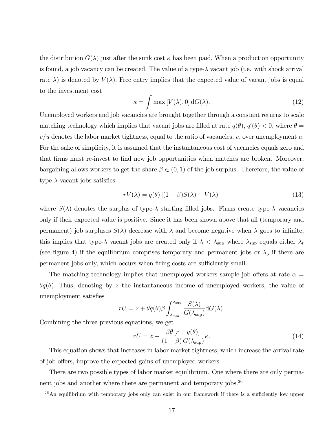the distribution  $G(\lambda)$  just after the sunk cost  $\kappa$  has been paid. When a production opportunity is found, a job vacancy can be created. The value of a type- $\lambda$  vacant job (i.e. with shock arrival rate  $\lambda$ ) is denoted by  $V(\lambda)$ . Free entry implies that the expected value of vacant jobs is equal to the investment cost

$$
\kappa = \int \max[V(\lambda), 0] dG(\lambda). \tag{12}
$$

Unemployed workers and job vacancies are brought together through a constant returns to scale matching technology which implies that vacant jobs are filled at rate  $q(\theta)$ ,  $q'(\theta) < 0$ , where  $\theta =$  $v/u$  denotes the labor market tightness, equal to the ratio of vacancies, v, over unemployment u. For the sake of simplicity, it is assumed that the instantaneous cost of vacancies equals zero and that Örms must re-invest to Önd new job opportunities when matches are broken. Moreover, bargaining allows workers to get the share  $\beta \in (0,1)$  of the job surplus. Therefore, the value of type- $\lambda$  vacant jobs satisfies

$$
rV(\lambda) = q(\theta) \left[ (1 - \beta)S(\lambda) - V(\lambda) \right] \tag{13}
$$

where  $S(\lambda)$  denotes the surplus of type- $\lambda$  starting filled jobs. Firms create type- $\lambda$  vacancies only if their expected value is positive. Since it has been shown above that all (temporary and permanent) job surpluses  $S(\lambda)$  decrease with  $\lambda$  and become negative when  $\lambda$  goes to infinite, this implies that type- $\lambda$  vacant jobs are created only if  $\lambda < \lambda_{\sup}$  where  $\lambda_{\sup}$  equals either  $\lambda_t$ (see figure 4) if the equilibrium comprises temporary and permanent jobs or  $\lambda_p$  if there are permanent jobs only, which occurs when firing costs are sufficiently small.

The matching technology implies that unemployed workers sample job offers at rate  $\alpha =$  $\theta q(\theta)$ . Thus, denoting by z the instantaneous income of unemployed workers, the value of unemployment satisfies

$$
rU = z + \theta q(\theta) \beta \int_{\lambda_{\min}}^{\lambda_{\sup}} \frac{S(\lambda)}{G(\lambda_{\sup})} dG(\lambda).
$$

Combining the three previous equations, we get

$$
rU = z + \frac{\beta \theta \left[ r + q(\theta) \right]}{(1 - \beta) G(\lambda_{\text{sup}})} \kappa.
$$
\n(14)

This equation shows that increases in labor market tightness, which increase the arrival rate of job offers, improve the expected gains of unemployed workers.

There are two possible types of labor market equilibrium. One where there are only permanent jobs and another where there are permanent and temporary jobs.<sup>26</sup>

 $26$ An equilibrium with temporary jobs only can exist in our framework if there is a sufficiently low upper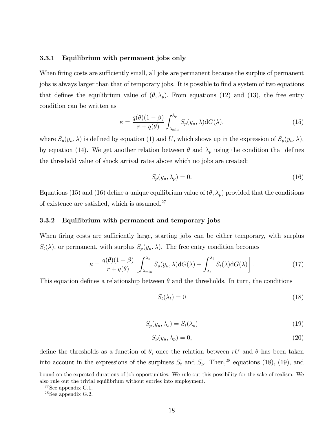#### 3.3.1 Equilibrium with permanent jobs only

When firing costs are sufficiently small, all jobs are permanent because the surplus of permanent jobs is always larger than that of temporary jobs. It is possible to find a system of two equations that defines the equilibrium value of  $(\theta, \lambda_p)$ . From equations (12) and (13), the free entry condition can be written as

$$
\kappa = \frac{q(\theta)(1-\beta)}{r+q(\theta)} \int_{\lambda_{\min}}^{\lambda_p} S_p(y_u, \lambda) dG(\lambda), \qquad (15)
$$

where  $S_p(y_u, \lambda)$  is defined by equation (1) and U, which shows up in the expression of  $S_p(y_u, \lambda)$ , by equation (14). We get another relation between  $\theta$  and  $\lambda_p$  using the condition that defines the threshold value of shock arrival rates above which no jobs are created:

$$
S_p(y_u, \lambda_p) = 0. \tag{16}
$$

Equations (15) and (16) define a unique equilibrium value of  $(\theta, \lambda_p)$  provided that the conditions of existence are satisfied, which is assumed.<sup>27</sup>

#### 3.3.2 Equilibrium with permanent and temporary jobs

When firing costs are sufficiently large, starting jobs can be either temporary, with surplus  $S_t(\lambda)$ , or permanent, with surplus  $S_p(y_u, \lambda)$ . The free entry condition becomes

$$
\kappa = \frac{q(\theta)(1-\beta)}{r+q(\theta)} \left[ \int_{\lambda_{\min}}^{\lambda_s} S_p(y_u, \lambda) dG(\lambda) + \int_{\lambda_s}^{\lambda_t} S_t(\lambda) dG(\lambda) \right].
$$
 (17)

This equation defines a relationship between  $\theta$  and the thresholds. In turn, the conditions

$$
S_t(\lambda_t) = 0 \tag{18}
$$

$$
S_p(y_u, \lambda_s) = S_t(\lambda_s) \tag{19}
$$

$$
S_p(y_u, \lambda_p) = 0,\t\t(20)
$$

define the thresholds as a function of  $\theta$ , once the relation between rU and  $\theta$  has been taken into account in the expressions of the surpluses  $S_t$  and  $S_p$ . Then,<sup>28</sup> equations (18), (19), and

bound on the expected durations of job opportunities. We rule out this possibility for the sake of realism. We also rule out the trivial equilibrium without entries into employment.

<sup>27</sup>See appendix G.1.

<sup>28</sup>See appendix G.2.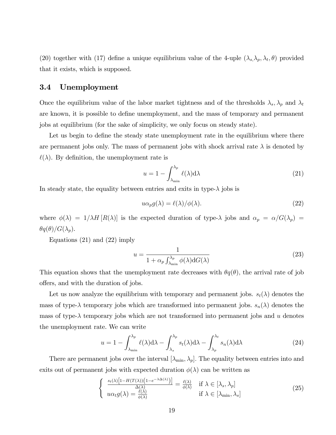(20) together with (17) define a unique equilibrium value of the 4-uple  $(\lambda_s, \lambda_p, \lambda_t, \theta)$  provided that it exists, which is supposed.

#### 3.4 Unemployment

Once the equilibrium value of the labor market tightness and of the thresholds  $\lambda_s$ ,  $\lambda_p$  and  $\lambda_t$ are known, it is possible to define unemployment, and the mass of temporary and permanent jobs at equilibrium (for the sake of simplicity, we only focus on steady state).

Let us begin to define the steady state unemployment rate in the equilibrium where there are permanent jobs only. The mass of permanent jobs with shock arrival rate  $\lambda$  is denoted by  $\ell(\lambda)$ . By definition, the unemployment rate is

$$
u = 1 - \int_{\lambda_{\min}}^{\lambda_p} \ell(\lambda) d\lambda \tag{21}
$$

In steady state, the equality between entries and exits in type- $\lambda$  jobs is

$$
u\alpha_p g(\lambda) = \ell(\lambda) / \phi(\lambda). \tag{22}
$$

where  $\phi(\lambda) = 1/\lambda H [R(\lambda)]$  is the expected duration of type- $\lambda$  jobs and  $\alpha_p = \alpha/G(\lambda_p)$  =  $\theta q(\theta)/G(\lambda_p).$ 

Equations (21) and (22) imply

$$
u = \frac{1}{1 + \alpha_p \int_{\lambda_{\min}}^{\lambda_p} \phi(\lambda) dG(\lambda)}
$$
(23)

This equation shows that the unemployment rate decreases with  $\theta q(\theta)$ , the arrival rate of job offers, and with the duration of jobs.

Let us now analyze the equilibrium with temporary and permanent jobs.  $s_t(\lambda)$  denotes the mass of type- $\lambda$  temporary jobs which are transformed into permanent jobs.  $s_n(\lambda)$  denotes the mass of type- $\lambda$  temporary jobs which are not transformed into permanent jobs and u denotes the unemployment rate. We can write

$$
u = 1 - \int_{\lambda_{\min}}^{\lambda_p} \ell(\lambda) d\lambda - \int_{\lambda_s}^{\lambda_p} s_t(\lambda) d\lambda - \int_{\lambda_p}^{\lambda_t} s_n(\lambda) d\lambda \tag{24}
$$

There are permanent jobs over the interval  $[\lambda_{\min}, \lambda_p]$ . The equality between entries into and exits out of permanent jobs with expected duration  $\phi(\lambda)$  can be written as

$$
\begin{cases}\n\frac{s_t(\lambda)[1 - H(T(\lambda))\left(1 - e^{-\lambda \Delta(\lambda)}\right)]}{\Delta(\lambda)} = \frac{\ell(\lambda)}{\phi(\lambda)} & \text{if } \lambda \in [\lambda_s, \lambda_p] \\
u\alpha_t g(\lambda) = \frac{\ell(\lambda)}{\phi(\lambda)} & \text{if } \lambda \in [\lambda_{\min}, \lambda_s]\n\end{cases}
$$
\n(25)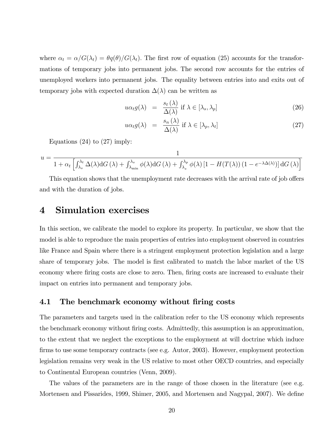where  $\alpha_t = \alpha/G(\lambda_t) = \theta q(\theta)/G(\lambda_t)$ . The first row of equation (25) accounts for the transformations of temporary jobs into permanent jobs. The second row accounts for the entries of unemployed workers into permanent jobs. The equality between entries into and exits out of temporary jobs with expected duration  $\Delta(\lambda)$  can be written as

$$
u\alpha_t g(\lambda) = \frac{s_t(\lambda)}{\Delta(\lambda)} \text{ if } \lambda \in [\lambda_s, \lambda_p] \tag{26}
$$

$$
u\alpha_t g(\lambda) = \frac{s_n(\lambda)}{\Delta(\lambda)} \text{ if } \lambda \in [\lambda_p, \lambda_t]
$$
 (27)

Equations  $(24)$  to  $(27)$  imply:

$$
u = \frac{1}{1 + \alpha_t \left[ \int_{\lambda_s}^{\lambda_t} \Delta(\lambda) dG(\lambda) + \int_{\lambda_{\min}}^{\lambda_s} \phi(\lambda) dG(\lambda) + \int_{\lambda_s}^{\lambda_p} \phi(\lambda) \left[ 1 - H(T(\lambda)) (1 - e^{-\lambda \Delta(\lambda)}) \right] dG(\lambda) \right]}
$$

This equation shows that the unemployment rate decreases with the arrival rate of job offers and with the duration of jobs.

## 4 Simulation exercises

In this section, we calibrate the model to explore its property. In particular, we show that the model is able to reproduce the main properties of entries into employment observed in countries like France and Spain where there is a stringent employment protection legislation and a large share of temporary jobs. The model is first calibrated to match the labor market of the US economy where firing costs are close to zero. Then, firing costs are increased to evaluate their impact on entries into permanent and temporary jobs.

#### 4.1 The benchmark economy without firing costs

The parameters and targets used in the calibration refer to the US economy which represents the benchmark economy without firing costs. Admittedly, this assumption is an approximation, to the extent that we neglect the exceptions to the employment at will doctrine which induce firms to use some temporary contracts (see e.g. Autor, 2003). However, employment protection legislation remains very weak in the US relative to most other OECD countries, and especially to Continental European countries (Venn, 2009).

The values of the parameters are in the range of those chosen in the literature (see e.g. Mortensen and Pissarides, 1999, Shimer, 2005, and Mortensen and Nagypal, 2007). We define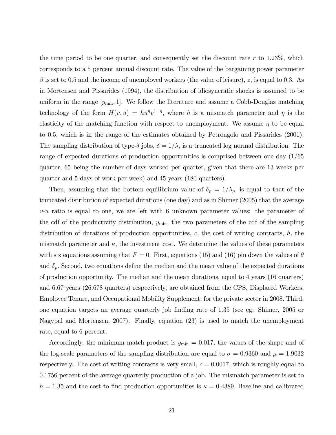the time period to be one quarter, and consequently set the discount rate  $r$  to 1.23%, which corresponds to a 5 percent annual discount rate. The value of the bargaining power parameter  $\beta$  is set to 0.5 and the income of unemployed workers (the value of leisure), z, is equal to 0.3. As in Mortensen and Pissarides (1994), the distribution of idiosyncratic shocks is assumed to be uniform in the range  $[y_{\min}, 1]$ . We follow the literature and assume a Cobb-Douglas matching technology of the form  $H(v, u) = hu^{\eta}v^{1-\eta}$ , where h is a mismatch parameter and  $\eta$  is the elasticity of the matching function with respect to unemployment. We assume  $\eta$  to be equal to 0:5, which is in the range of the estimates obtained by Petrongolo and Pissarides (2001). The sampling distribution of type- $\delta$  jobs,  $\delta = 1/\lambda$ , is a truncated log normal distribution. The range of expected durations of production opportunities is comprised between one day  $(1/65)$ quarter, 65 being the number of days worked per quarter, given that there are 13 weeks per quarter and 5 days of work per week) and 45 years (180 quarters).

Then, assuming that the bottom equilibrium value of  $\delta_p = 1/\lambda_p$ , is equal to that of the truncated distribution of expected durations (one day) and as in Shimer (2005) that the average  $v-u$  ratio is equal to one, we are left with 6 unknown parameter values: the parameter of the cdf of the productivity distribution,  $y_{\text{min}}$ , the two parameters of the cdf of the sampling distribution of durations of production opportunities, c, the cost of writing contracts,  $h$ , the mismatch parameter and  $\kappa$ , the investment cost. We determine the values of these parameters with six equations assuming that  $F = 0$ . First, equations (15) and (16) pin down the values of  $\theta$ and  $\delta_p$ . Second, two equations define the median and the mean value of the expected durations of production opportunity. The median and the mean durations, equal to 4 years (16 quarters) and 6:67 years (26:678 quarters) respectively, are obtained from the CPS, Displaced Workers, Employee Tenure, and Occupational Mobility Supplement, for the private sector in 2008. Third, one equation targets an average quarterly job Önding rate of 1:35 (see eg: Shimer, 2005 or Nagypal and Mortensen, 2007). Finally, equation (23) is used to match the unemployment rate, equal to 6 percent.

Accordingly, the minimum match product is  $y_{\text{min}} = 0.017$ , the values of the shape and of the log-scale parameters of the sampling distribution are equal to  $\sigma = 0.9360$  and  $\mu = 1.9032$ respectively. The cost of writing contracts is very small,  $c = 0.0017$ , which is roughly equal to 0:1756 percent of the average quarterly production of a job. The mismatch parameter is set to  $h = 1.35$  and the cost to find production opportunities is  $\kappa = 0.4389$ . Baseline and calibrated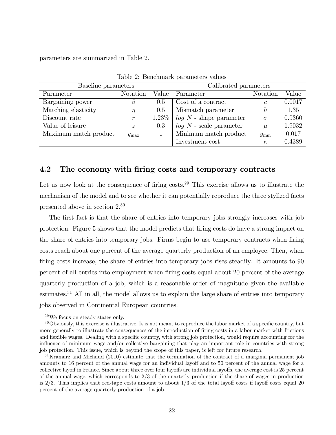parameters are summarized in Table 2.

| Lable 2. Deficilitative parameters values |               |          |                           |               |        |  |  |  |
|-------------------------------------------|---------------|----------|---------------------------|---------------|--------|--|--|--|
| Baseline parameters                       |               |          | Calibrated parameters     |               |        |  |  |  |
| Parameter                                 | Notation      | Value    | Parameter                 | Notation      | Value  |  |  |  |
| Bargaining power                          | B             | 0.5      | Cost of a contract        | $\mathcal{C}$ | 0.0017 |  |  |  |
| Matching elasticity                       | $\eta$        | 0.5      | Mismatch parameter        | $\hbar$       | 1.35   |  |  |  |
| Discount rate                             | $\mathcal{r}$ | $1.23\%$ | $log N$ - shape parameter | $\sigma$      | 0.9360 |  |  |  |
| Value of leisure                          | $\tilde{z}$   | 0.3      | $log N$ - scale parameter | $\mu$         | 1.9032 |  |  |  |
| Maximum match product                     | $y_{\rm max}$ |          | Minimum match product     | $y_{\rm min}$ | 0.017  |  |  |  |
|                                           |               |          | Investment cost           | $\kappa$      | 0.4389 |  |  |  |

Table 2: Benchmark parameters values

### 4.2 The economy with firing costs and temporary contracts

Let us now look at the consequence of firing costs.<sup>29</sup> This exercise allows us to illustrate the mechanism of the model and to see whether it can potentially reproduce the three stylized facts presented above in section 2.<sup>30</sup>

The first fact is that the share of entries into temporary jobs strongly increases with job protection. Figure 5 shows that the model predicts that Öring costs do have a strong impact on the share of entries into temporary jobs. Firms begin to use temporary contracts when firing costs reach about one percent of the average quarterly production of an employee. Then, when firing costs increase, the share of entries into temporary jobs rises steadily. It amounts to 90 percent of all entries into employment when Öring costs equal about 20 percent of the average quarterly production of a job, which is a reasonable order of magnitude given the available estimates.<sup>31</sup> All in all, the model allows us to explain the large share of entries into temporary jobs observed in Continental European countries.

<sup>29</sup>We focus on steady states only.

 $30$  Obviously, this exercise is illustrative. It is not meant to reproduce the labor market of a specific country, but more generally to illustrate the consequences of the introduction of firing costs in a labor market with frictions and flexible wages. Dealing with a specific country, with strong job protection, would require accounting for the influence of minimum wage and/or collective bargaining that play an important role in countries with strong job protection. This issue, which is beyond the scope of this paper, is left for future research.

 $31$ Kramarz and Michaud (2010) estimate that the termination of the contract of a marginal permanent job amounts to 16 percent of the annual wage for an individual layoff and to 50 percent of the annual wage for a collective layoff in France. Since about three over four layoffs are individual layoffs, the average cost is 25 percent of the annual wage, which corresponds to 2/3 of the quarterly production if the share of wages in production is  $2/3$ . This implies that red-tape costs amount to about  $1/3$  of the total layoff costs if layoff costs equal 20 percent of the average quarterly production of a job.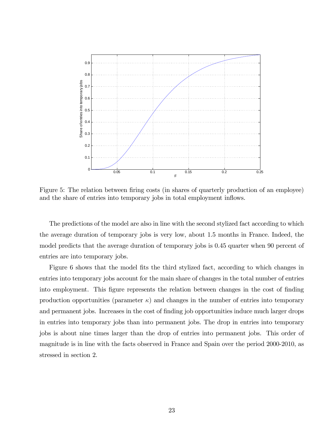

Figure 5: The relation between firing costs (in shares of quarterly production of an employee) and the share of entries into temporary jobs in total employment inflows.

The predictions of the model are also in line with the second stylized fact according to which the average duration of temporary jobs is very low, about 1.5 months in France. Indeed, the model predicts that the average duration of temporary jobs is 0.45 quarter when 90 percent of entries are into temporary jobs.

Figure 6 shows that the model fits the third stylized fact, according to which changes in entries into temporary jobs account for the main share of changes in the total number of entries into employment. This figure represents the relation between changes in the cost of finding production opportunities (parameter  $\kappa$ ) and changes in the number of entries into temporary and permanent jobs. Increases in the cost of finding job opportunities induce much larger drops in entries into temporary jobs than into permanent jobs. The drop in entries into temporary jobs is about nine times larger than the drop of entries into permanent jobs. This order of magnitude is in line with the facts observed in France and Spain over the period 2000-2010, as stressed in section 2.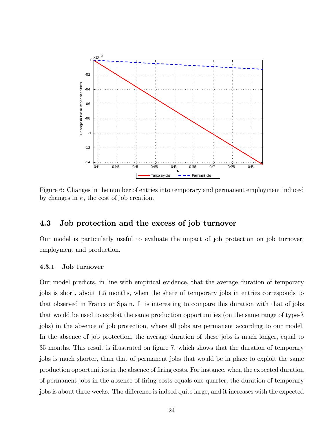

Figure 6: Changes in the number of entries into temporary and permanent employment induced by changes in  $\kappa$ , the cost of job creation.

### 4.3 Job protection and the excess of job turnover

Our model is particularly useful to evaluate the impact of job protection on job turnover, employment and production.

#### 4.3.1 Job turnover

Our model predicts, in line with empirical evidence, that the average duration of temporary jobs is short, about 1.5 months, when the share of temporary jobs in entries corresponds to that observed in France or Spain. It is interesting to compare this duration with that of jobs that would be used to exploit the same production opportunities (on the same range of type- $\lambda$ jobs) in the absence of job protection, where all jobs are permanent according to our model. In the absence of job protection, the average duration of these jobs is much longer, equal to 35 months. This result is illustrated on figure 7, which shows that the duration of temporary jobs is much shorter, than that of permanent jobs that would be in place to exploit the same production opportunities in the absence of Öring costs. For instance, when the expected duration of permanent jobs in the absence of Öring costs equals one quarter, the duration of temporary jobs is about three weeks. The difference is indeed quite large, and it increases with the expected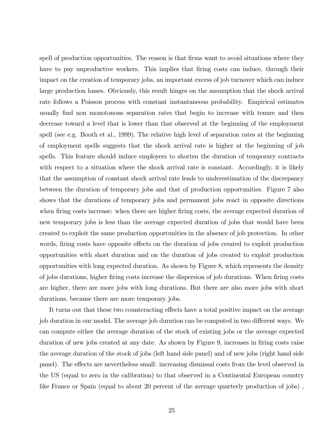spell of production opportunities. The reason is that firms want to avoid situations where they have to pay unproductive workers. This implies that firing costs can induce, through their impact on the creation of temporary jobs, an important excess of job turnover which can induce large production losses. Obviously, this result hinges on the assumption that the shock arrival rate follows a Poisson process with constant instantaneous probability. Empirical estimates usually find non monotonous separation rates that begin to increase with tenure and then decrease toward a level that is lower than that observed at the beginning of the employment spell (see e.g. Booth et al., 1999). The relative high level of separation rates at the beginning of employment spells suggests that the shock arrival rate is higher at the beginning of job spells. This feature should induce employers to shorten the duration of temporary contracts with respect to a situation where the shock arrival rate is constant. Accordingly, it is likely that the assumption of constant shock arrival rate leads to underestimation of the discrepancy between the duration of temporary jobs and that of production opportunities. Figure 7 also shows that the durations of temporary jobs and permanent jobs react in opposite directions when firing costs increase: when there are higher firing costs, the average expected duration of new temporary jobs is less than the average expected duration of jobs that would have been created to exploit the same production opportunities in the absence of job protection. In other words, firing costs have opposite effects on the duration of jobs created to exploit production opportunities with short duration and on the duration of jobs created to exploit production opportunities with long expected duration. As shown by Figure 8, which represents the density of jobs durations, higher Öring costs increase the dispersion of job durations. When Öring costs are higher, there are more jobs with long durations. But there are also more jobs with short durations, because there are more temporary jobs.

It turns out that these two counteracting effects have a total positive impact on the average job duration in our model. The average job duration can be computed in two different ways. We can compute either the average duration of the stock of existing jobs or the average expected duration of new jobs created at any date. As shown by Figure 9, increases in firing costs raise the average duration of the stock of jobs (left hand side panel) and of new jobs (right hand side panel). The effects are nevertheless small: increasing dismissal costs from the level observed in the US (equal to zero in the calibration) to that observed in a Continental European country like France or Spain (equal to about 20 percent of the average quarterly production of jobs) ,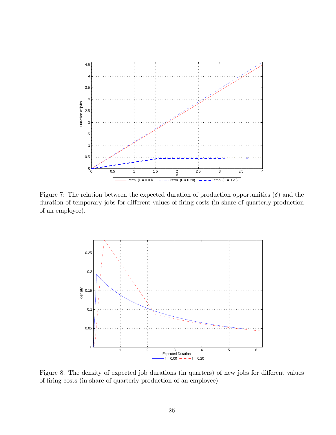

Figure 7: The relation between the expected duration of production opportunities  $(\delta)$  and the duration of temporary jobs for different values of firing costs (in share of quarterly production of an employee).



Figure 8: The density of expected job durations (in quarters) of new jobs for different values of Öring costs (in share of quarterly production of an employee).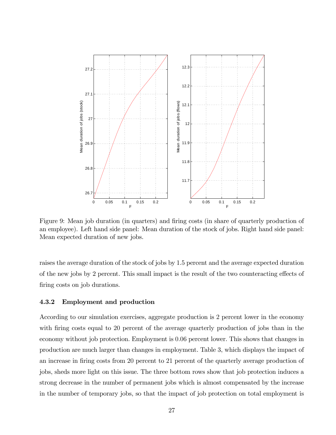

Figure 9: Mean job duration (in quarters) and firing costs (in share of quarterly production of an employee). Left hand side panel: Mean duration of the stock of jobs. Right hand side panel: Mean expected duration of new jobs.

raises the average duration of the stock of jobs by 1.5 percent and the average expected duration of the new jobs by 2 percent. This small impact is the result of the two counteracting effects of firing costs on job durations.

#### 4.3.2 Employment and production

According to our simulation exercises, aggregate production is 2 percent lower in the economy with firing costs equal to 20 percent of the average quarterly production of jobs than in the economy without job protection. Employment is 0:06 percent lower. This shows that changes in production are much larger than changes in employment. Table 3, which displays the impact of an increase in firing costs from 20 percent to 21 percent of the quarterly average production of jobs, sheds more light on this issue. The three bottom rows show that job protection induces a strong decrease in the number of permanent jobs which is almost compensated by the increase in the number of temporary jobs, so that the impact of job protection on total employment is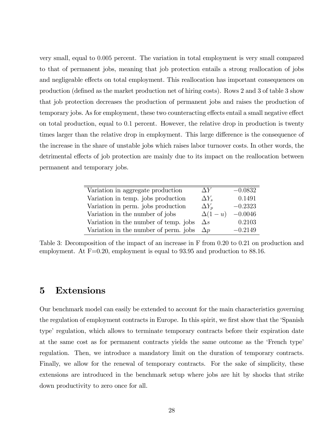very small, equal to 0:005 percent. The variation in total employment is very small compared to that of permanent jobs, meaning that job protection entails a strong reallocation of jobs and negligeable effects on total employment. This reallocation has important consequences on production (defined as the market production net of hiring costs). Rows 2 and 3 of table 3 show that job protection decreases the production of permanent jobs and raises the production of temporary jobs. As for employment, these two counteracting effects entail a small negative effect on total production, equal to 0.1 percent. However, the relative drop in production is twenty times larger than the relative drop in employment. This large difference is the consequence of the increase in the share of unstable jobs which raises labor turnover costs. In other words, the detrimental effects of job protection are mainly due to its impact on the reallocation between permanent and temporary jobs.

| Variation in aggregate production     | $\Lambda Y$   | $-0.0832$ |
|---------------------------------------|---------------|-----------|
| Variation in temp. jobs production    | $\Delta Y_s$  | 0.1491    |
| Variation in perm. jobs production    | $\Delta Y_p$  | $-0.2323$ |
| Variation in the number of jobs       | $\Delta(1-u)$ | $-0.0046$ |
| Variation in the number of temp. jobs | $\Delta s$    | 0.2103    |
| Variation in the number of perm. jobs | $\Delta p$    | $-0.2149$ |

Table 3: Decomposition of the impact of an increase in F from 0.20 to 0.21 on production and employment. At  $F=0.20$ , employment is equal to 93.95 and production to 88.16.

# 5 Extensions

Our benchmark model can easily be extended to account for the main characteristics governing the regulation of employment contracts in Europe. In this spirit, we first show that the 'Spanish type' regulation, which allows to terminate temporary contracts before their expiration date at the same cost as for permanent contracts yields the same outcome as the 'French type' regulation. Then, we introduce a mandatory limit on the duration of temporary contracts. Finally, we allow for the renewal of temporary contracts. For the sake of simplicity, these extensions are introduced in the benchmark setup where jobs are hit by shocks that strike down productivity to zero once for all.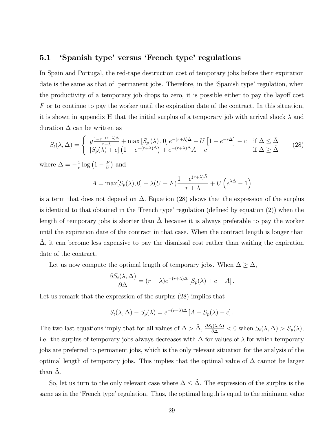#### 5.1 Spanish type' versus 'French type' regulations

In Spain and Portugal, the red-tape destruction cost of temporary jobs before their expiration date is the same as that of permanent jobs. Therefore, in the 'Spanish type' regulation, when the productivity of a temporary job drops to zero, it is possible either to pay the layoff cost F or to continue to pay the worker until the expiration date of the contract. In this situation, it is shown in appendix H that the initial surplus of a temporary job with arrival shock  $\lambda$  and duration  $\Delta$  can be written as

$$
S_t(\lambda, \Delta) = \begin{cases} y \frac{1 - e^{-(r + \lambda)\Delta}}{r + \lambda} + \max\left[S_p(\lambda), 0\right] e^{-(r + \lambda)\Delta} - U\left[1 - e^{-r\Delta}\right] - c & \text{if } \Delta \leq \tilde{\Delta} \\ \left[S_p(\lambda) + c\right] \left(1 - e^{-(r + \lambda)\Delta}\right) + e^{-(r + \lambda)\Delta} A - c & \text{if } \Delta \geq \tilde{\Delta} \end{cases} \tag{28}
$$

where  $\tilde{\Delta} = -\frac{1}{r}$  $\frac{1}{r} \log \left( 1 - \frac{F}{U} \right)$  $\frac{F}{U}$  and

$$
A = \max[S_p(\lambda), 0] + \lambda (U - F) \frac{1 - e^{(r + \lambda)\tilde{\Delta}}}{r + \lambda} + U\left(e^{\lambda \tilde{\Delta}} - 1\right)
$$

is a term that does not depend on  $\Delta$ . Equation (28) shows that the expression of the surplus is identical to that obtained in the 'French type' regulation (defined by equation  $(2)$ ) when the length of temporary jobs is shorter than  $\Delta$  because it is always preferable to pay the worker until the expiration date of the contract in that case. When the contract length is longer than  $\Delta$ , it can become less expensive to pay the dismissal cost rather than waiting the expiration date of the contract.

Let us now compute the optimal length of temporary jobs. When  $\Delta \geq \tilde{\Delta}$ ,

$$
\frac{\partial S_t(\lambda, \Delta)}{\partial \Delta} = (r + \lambda)e^{-(r + \lambda)\Delta} [S_p(\lambda) + c - A].
$$

Let us remark that the expression of the surplus (28) implies that

$$
S_t(\lambda, \Delta) - S_p(\lambda) = e^{-(r+\lambda)\Delta} [A - S_p(\lambda) - c].
$$

The two last equations imply that for all values of  $\Delta > \tilde{\Delta}$ ,  $\frac{\partial S_t(\lambda, \Delta)}{\partial \Delta} < 0$  when  $S_t(\lambda, \Delta) > S_p(\lambda)$ , i.e. the surplus of temporary jobs always decreases with  $\Delta$  for values of  $\lambda$  for which temporary jobs are preferred to permanent jobs, which is the only relevant situation for the analysis of the optimal length of temporary jobs. This implies that the optimal value of  $\Delta$  cannot be larger than  $\Delta$ .

So, let us turn to the only relevant case where  $\Delta \leq \tilde{\Delta}$ . The expression of the surplus is the same as in the 'French type' regulation. Thus, the optimal length is equal to the minimum value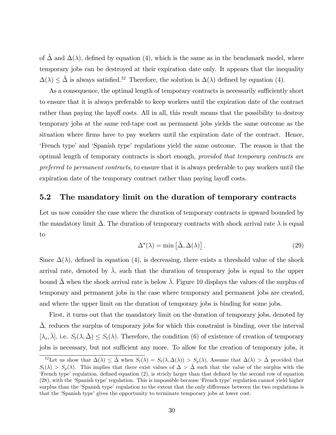of  $\tilde{\Delta}$  and  $\Delta(\lambda)$ , defined by equation (4), which is the same as in the benchmark model, where temporary jobs can be destroyed at their expiration date only. It appears that the inequality  $\Delta(\lambda) \leq \tilde{\Delta}$  is always satisfied.<sup>32</sup> Therefore, the solution is  $\Delta(\lambda)$  defined by equation (4).

As a consequence, the optimal length of temporary contracts is necessarily sufficiently short to ensure that it is always preferable to keep workers until the expiration date of the contract rather than paying the layoff costs. All in all, this result means that the possibility to destroy temporary jobs at the same red-tape cost as permanent jobs yields the same outcome as the situation where firms have to pay workers until the expiration date of the contract. Hence, Expansive interval type is regulations yield the same outcome. The reason is that the optimal length of temporary contracts is short enough, provided that temporary contracts are preferred to permanent contracts, to ensure that it is always preferable to pay workers until the expiration date of the temporary contract rather than paying layoff costs.

#### 5.2 The mandatory limit on the duration of temporary contracts

Let us now consider the case where the duration of temporary contracts is upward bounded by the mandatory limit  $\Delta$ . The duration of temporary contracts with shock arrival rate  $\lambda$  is equal to

$$
\Delta^*(\lambda) = \min\left[\bar{\Delta}, \Delta(\lambda)\right].\tag{29}
$$

Since  $\Delta(\lambda)$ , defined in equation (4), is decreasing, there exists a threshold value of the shock arrival rate, denoted by  $\bar{\lambda}$ , such that the duration of temporary jobs is equal to the upper bound  $\Delta$  when the shock arrival rate is below  $\lambda$ . Figure 10 displays the values of the surplus of temporary and permanent jobs in the case where temporary and permanent jobs are created, and where the upper limit on the duration of temporary jobs is binding for some jobs.

First, it turns out that the mandatory limit on the duration of temporary jobs, denoted by  $\Delta$ , reduces the surplus of temporary jobs for which this constraint is binding, over the interval  $[\lambda_s, \overline{\lambda}]$ , i.e.  $S_t(\lambda, \overline{\Delta}) \leq S_t(\lambda)$ . Therefore, the condition (6) of existence of creation of temporary jobs is necessary, but not sufficient any more. To allow for the creation of temporary jobs, it

<sup>&</sup>lt;sup>32</sup>Let us show that  $\Delta(\lambda) \leq \tilde{\Delta}$  when  $S_t(\lambda) = S_t(\lambda, \Delta(\lambda)) > S_p(\lambda)$ . Assume that  $\Delta(\lambda) > \tilde{\Delta}$  provided that  $S_t(\lambda) > S_p(\lambda)$ . This implies that there exist values of  $\Delta > \tilde{\Delta}$  such that the value of the surplus with the  $F$ French type' regulation, defined equation  $(2)$ , is stricly larger than that defined by the second row of equation (28), with the 'Spanish type' regulation. This is impossible because 'French type' regulation cannot yield higher surplus than the 'Spanish type' regulation to the extent that the only difference between the two regulations is that the 'Spanish type' gives the opportunity to terminate temporary jobs at lower cost.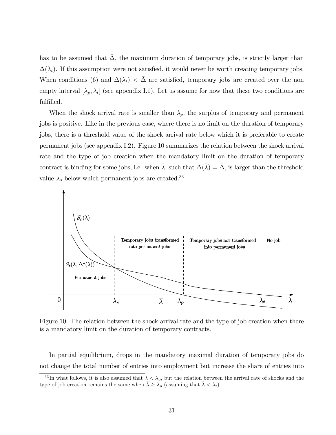has to be assumed that  $\Delta$ , the maximum duration of temporary jobs, is strictly larger than  $\Delta(\lambda_t)$ . If this assumption were not satisfied, it would never be worth creating temporary jobs. When conditions (6) and  $\Delta(\lambda_t) < \overline{\Delta}$  are satisfied, temporary jobs are created over the non empty interval  $[\lambda_p, \lambda_t]$  (see appendix I.1). Let us assume for now that these two conditions are fulfilled.

When the shock arrival rate is smaller than  $\lambda_p$ , the surplus of temporary and permanent jobs is positive. Like in the previous case, where there is no limit on the duration of temporary jobs, there is a threshold value of the shock arrival rate below which it is preferable to create permanent jobs (see appendix I.2). Figure 10 summarizes the relation between the shock arrival rate and the type of job creation when the mandatory limit on the duration of temporary contract is binding for some jobs, i.e. when  $\bar{\lambda}$ , such that  $\Delta(\bar{\lambda}) = \bar{\Delta}$ , is larger than the threshold value  $\lambda_s$  below which permanent jobs are created. $^{33}$ 



Figure 10: The relation between the shock arrival rate and the type of job creation when there is a mandatory limit on the duration of temporary contracts.

In partial equilibrium, drops in the mandatory maximal duration of temporary jobs do not change the total number of entries into employment but increase the share of entries into

<sup>&</sup>lt;sup>33</sup>In what follows, it is also assumed that  $\bar{\lambda} < \lambda_p$ , but the relation between the arrival rate of shocks and the type of job creation remains the same when  $\bar{\lambda} \geq \lambda_p$  (assuming that  $\bar{\lambda} < \lambda_t$ ).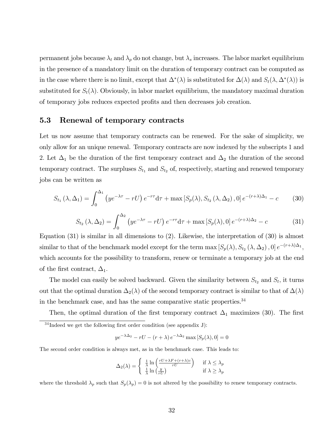permanent jobs because  $\lambda_t$  and  $\lambda_p$  do not change, but  $\lambda_s$  increases. The labor market equilibrium in the presence of a mandatory limit on the duration of temporary contract can be computed as in the case where there is no limit, except that  $\Delta^*(\lambda)$  is substituted for  $\Delta(\lambda)$  and  $S_t(\lambda, \Delta^*(\lambda))$  is substituted for  $S_t(\lambda)$ . Obviously, in labor market equilibrium, the mandatory maximal duration of temporary jobs reduces expected profits and then decreases job creation.

### 5.3 Renewal of temporary contracts

Let us now assume that temporary contracts can be renewed. For the sake of simplicity, we only allow for an unique renewal. Temporary contracts are now indexed by the subscripts 1 and 2. Let  $\Delta_1$  be the duration of the first temporary contract and  $\Delta_2$  the duration of the second temporary contract. The surpluses  $S_{t_1}$  and  $S_{t_2}$  of, respectively, starting and renewed temporary jobs can be written as

$$
S_{t_1}(\lambda, \Delta_1) = \int_0^{\Delta_1} \left( y e^{-\lambda \tau} - rU \right) e^{-r\tau} d\tau + \max \left[ S_p(\lambda), S_{t_2}(\lambda, \Delta_2), 0 \right] e^{-(r+\lambda)\Delta_1} - c \tag{30}
$$

$$
S_{t_2}(\lambda, \Delta_2) = \int_0^{\Delta_2} \left( y e^{-\lambda \tau} - rU \right) e^{-r\tau} d\tau + \max \left[ S_p(\lambda), 0 \right] e^{-(r+\lambda)\Delta_2} - c \tag{31}
$$

Equation (31) is similar in all dimensions to (2). Likewise, the interpretation of (30) is almost similar to that of the benchmark model except for the term  $\max [S_p(\lambda), S_{t_2}(\lambda, \Delta_2), 0] e^{-(r+\lambda)\Delta_1}$ , which accounts for the possibility to transform, renew or terminate a temporary job at the end of the first contract,  $\Delta_1$ .

The model can easily be solved backward. Given the similarity between  $S_{t_2}$  and  $S_t$ , it turns out that the optimal duration  $\Delta_2(\lambda)$  of the second temporary contract is similar to that of  $\Delta(\lambda)$ in the benchmark case, and has the same comparative static properties.<sup>34</sup>

Then, the optimal duration of the first temporary contract  $\Delta_1$  maximizes (30). The first

$$
ye^{-\lambda\Delta_2} - rU - (r+\lambda)e^{-\lambda\Delta_2} \max[S_p(\lambda),0] = 0
$$

The second order condition is always met, as in the benchmark case. This leads to:

$$
\Delta_2(\lambda) = \begin{cases} \frac{1}{\lambda} \ln \left( \frac{rU + \lambda F + (r + \lambda)c}{rU} \right) & \text{if } \lambda \leq \lambda_p \\ \frac{1}{\lambda} \ln \left( \frac{y}{rU} \right) & \text{if } \lambda \geq \lambda_p \end{cases}
$$

where the threshold  $\lambda_p$  such that  $S_p(\lambda_p) = 0$  is not altered by the possibility to renew temporary contracts.

 $34$  Indeed we get the following first order condition (see appendix J):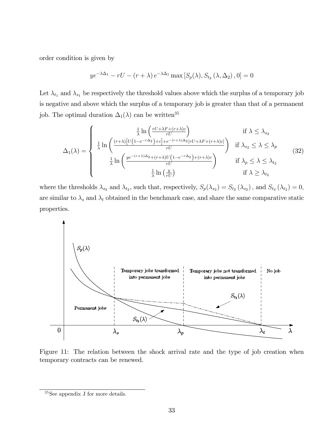order condition is given by

$$
ye^{-\lambda\Delta_1} - rU - (r+\lambda)e^{-\lambda\Delta_1}\max[S_p(\lambda), S_{t_2}(\lambda, \Delta_2), 0] = 0
$$

Let  $\lambda_{t_1}$  and  $\lambda_{s_1}$  be respectively the threshold values above which the surplus of a temporary job is negative and above which the surplus of a temporary job is greater than that of a permanent job. The optimal duration  $\Delta_1(\lambda)$  can be written<sup>35</sup>

$$
\Delta_1(\lambda) = \begin{cases}\n\frac{1}{\lambda} \ln \left( \frac{rU + \lambda F + (r + \lambda)c}{rU} \right) & \text{if } \lambda \leq \lambda_{s_2} \\
\frac{1}{\lambda} \ln \left( \frac{(r + \lambda)[U(1 - e^{-r\Delta_2}) + c] + e^{-(r + \lambda)\Delta_2}[rU + \lambda F + (r + \lambda)c]}{rU} \right) & \text{if } \lambda_{s_2} \leq \lambda \leq \lambda_p \\
\frac{1}{\lambda} \ln \left( \frac{ye^{-(r + \lambda)\Delta_2} + (r + \lambda)U(1 - e^{-r\Delta_2}) + (r + \lambda)c}{rU} \right) & \text{if } \lambda_p \leq \lambda \leq \lambda_{t_2} \\
\frac{1}{\lambda} \ln \left( \frac{y}{rU} \right) & \text{if } \lambda \geq \lambda_{t_2}\n\end{cases}
$$
\n(32)

where the thresholds  $\lambda_{s_2}$  and  $\lambda_{t_2}$ , such that, respectively,  $S_p(\lambda_{s_2}) = S_{t_2}(\lambda_{s_2})$ , and  $S_{t_2}(\lambda_{t_2}) = 0$ , are similar to  $\lambda_s$  and  $\lambda_t$  obtained in the benchmark case, and share the same comparative static properties.



Figure 11: The relation between the shock arrival rate and the type of job creation when temporary contracts can be renewed.

<sup>35</sup>See appendix J for more details.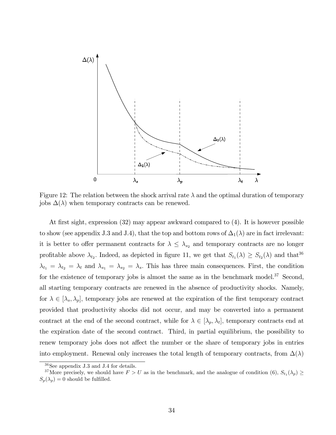

Figure 12: The relation between the shock arrival rate  $\lambda$  and the optimal duration of temporary jobs  $\Delta(\lambda)$  when temporary contracts can be renewed.

At first sight, expression  $(32)$  may appear awkward compared to  $(4)$ . It is however possible to show (see appendix J.3 and J.4), that the top and bottom rows of  $\Delta_1(\lambda)$  are in fact irrelevant: it is better to offer permanent contracts for  $\lambda \leq \lambda_{s_2}$  and temporary contracts are no longer profitable above  $\lambda_{t_2}$ . Indeed, as depicted in figure 11, we get that  $S_{t_1}(\lambda) \geq S_{t_2}(\lambda)$  and that<sup>36</sup>  $\lambda_{t_1} = \lambda_{t_2} = \lambda_t$  and  $\lambda_{s_1} = \lambda_{s_2} = \lambda_s$ . This has three main consequences. First, the condition for the existence of temporary jobs is almost the same as in the benchmark model.<sup>37</sup> Second, all starting temporary contracts are renewed in the absence of productivity shocks. Namely, for  $\lambda \in [\lambda_s, \lambda_p]$ , temporary jobs are renewed at the expiration of the first temporary contract provided that productivity shocks did not occur, and may be converted into a permanent contract at the end of the second contract, while for  $\lambda \in [\lambda_p, \lambda_t]$ , temporary contracts end at the expiration date of the second contract. Third, in partial equilibrium, the possibility to renew temporary jobs does not affect the number or the share of temporary jobs in entries into employment. Renewal only increases the total length of temporary contracts, from  $\Delta(\lambda)$ 

<sup>36</sup>See appendix J.3 and J.4 for details.

<sup>&</sup>lt;sup>37</sup>More precisely, we should have  $F > U$  as in the benchmark, and the analogue of condition (6),  $S_{t_1}(\lambda_p) \ge$  $S_p(\lambda_p) = 0$  should be fulfilled.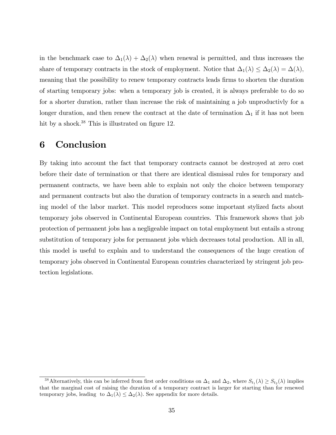in the benchmark case to  $\Delta_1(\lambda) + \Delta_2(\lambda)$  when renewal is permitted, and thus increases the share of temporary contracts in the stock of employment. Notice that  $\Delta_1(\lambda) \leq \Delta_2(\lambda) = \Delta(\lambda)$ , meaning that the possibility to renew temporary contracts leads firms to shorten the duration of starting temporary jobs: when a temporary job is created, it is always preferable to do so for a shorter duration, rather than increase the risk of maintaining a job unproductivly for a longer duration, and then renew the contract at the date of termination  $\Delta_1$  if it has not been hit by a shock. $38$  This is illustrated on figure 12.

# 6 Conclusion

By taking into account the fact that temporary contracts cannot be destroyed at zero cost before their date of termination or that there are identical dismissal rules for temporary and permanent contracts, we have been able to explain not only the choice between temporary and permanent contracts but also the duration of temporary contracts in a search and matching model of the labor market. This model reproduces some important stylized facts about temporary jobs observed in Continental European countries. This framework shows that job protection of permanent jobs has a negligeable impact on total employment but entails a strong substitution of temporary jobs for permanent jobs which decreases total production. All in all, this model is useful to explain and to understand the consequences of the huge creation of temporary jobs observed in Continental European countries characterized by stringent job protection legislations.

<sup>&</sup>lt;sup>38</sup> Alternatively, this can be inferred from first order conditions on  $\Delta_1$  and  $\Delta_2$ , where  $S_{t_1}(\lambda) \geq S_{t_2}(\lambda)$  implies that the marginal cost of raising the duration of a temporary contract is larger for starting than for renewed temporary jobs, leading to  $\Delta_1(\lambda) \leq \Delta_2(\lambda)$ . See appendix for more details.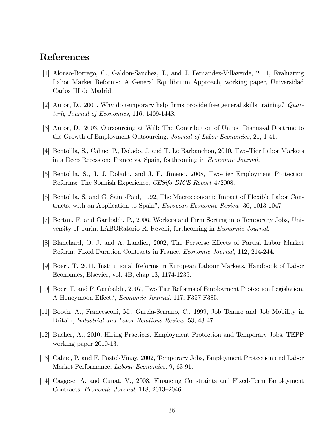## References

- [1] Alonso-Borrego, C., Galdon-Sanchez, J., and J. Fernandez-Villaverde, 2011, Evaluating Labor Market Reforms: A General Equilibrium Approach, working paper, Universidad Carlos III de Madrid.
- [2] Autor, D., 2001, Why do temporary help firms provide free general skills training? *Quar*terly Journal of Economics, 116, 1409-1448.
- [3] Autor, D., 2003, Oursourcing at Will: The Contribution of Unjust Dismissal Doctrine to the Growth of Employment Outsourcing, Journal of Labor Economics, 21, 1-41.
- [4] Bentolila, S., Cahuc, P., Dolado, J. and T. Le Barbanchon, 2010, Two-Tier Labor Markets in a Deep Recession: France vs. Spain, forthcoming in Economic Journal.
- [5] Bentolila, S., J. J. Dolado, and J. F. Jimeno, 2008, Two-tier Employment Protection Reforms: The Spanish Experience, CESifo DICE Report 4/2008.
- [6] Bentolila, S. and G. Saint-Paul, 1992, The Macroeconomic Impact of Flexible Labor Contracts, with an Application to Spain", *European Economic Review*, 36, 1013-1047.
- [7] Berton, F. and Garibaldi, P., 2006, Workers and Firm Sorting into Temporary Jobs, University of Turin, LABORatorio R. Revelli, forthcoming in Economic Journal.
- [8] Blanchard, O. J. and A. Landier, 2002, The Perverse Effects of Partial Labor Market Reform: Fixed Duration Contracts in France, Economic Journal, 112, 214-244.
- [9] Boeri, T. 2011, Institutional Reforms in European Labour Markets, Handbook of Labor Economics, Elsevier, vol. 4B, chap 13, 1174-1235.
- [10] Boeri T. and P. Garibaldi , 2007, Two Tier Reforms of Employment Protection Legislation. A Honeymoon Effect?, *Economic Journal*, 117, F357-F385.
- [11] Booth, A., Francesconi, M., Garcia-Serrano, C., 1999, Job Tenure and Job Mobility in Britain, Industrial and Labor Relations Review, 53, 43-47.
- [12] Bucher, A., 2010, Hiring Practices, Employment Protection and Temporary Jobs, TEPP working paper 2010-13.
- [13] Cahuc, P. and F. Postel-Vinay, 2002, Temporary Jobs, Employment Protection and Labor Market Performance, Labour Economics, 9, 63-91.
- [14] Caggese, A. and Cunat, V., 2008, Financing Constraints and Fixed-Term Employment Contracts, *Economic Journal*, 118, 2013–2046.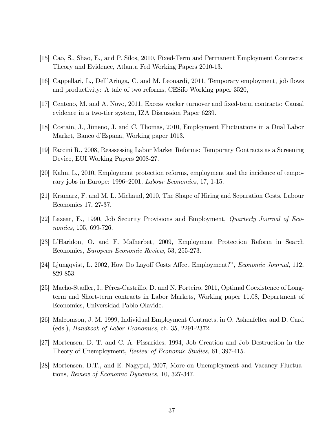- [15] Cao, S., Shao, E., and P. Silos, 2010, Fixed-Term and Permanent Employment Contracts: Theory and Evidence, Atlanta Fed Working Papers 2010-13.
- [16] Cappellari, L., DellíAringa, C. and M. Leonardi, 2011, Temporary employment, job áows and productivity: A tale of two reforms, CESifo Working paper 3520,
- [17] Centeno, M. and A. Novo, 2011, Excess worker turnover and Öxed-term contracts: Causal evidence in a two-tier system, IZA Discussion Paper 6239.
- [18] Costain, J., Jimeno, J. and C. Thomas, 2010, Employment Fluctuations in a Dual Labor Market, Banco d'Espana, Working paper 1013.
- [19] Faccini R., 2008, Reassessing Labor Market Reforms: Temporary Contracts as a Screening Device, EUI Working Papers 2008-27.
- [20] Kahn, L., 2010, Employment protection reforms, employment and the incidence of temporary jobs in Europe: 1996–2001, Labour Economics, 17, 1-15.
- [21] Kramarz, F. and M. L. Michaud, 2010, The Shape of Hiring and Separation Costs, Labour Economics 17, 27-37.
- [22] Lazear, E., 1990, Job Security Provisions and Employment, Quarterly Journal of Economics, 105, 699-726.
- [23] LíHaridon, O. and F. Malherbet, 2009, Employment Protection Reform in Search Economies, European Economic Review, 53, 255-273.
- [24] Ljungqvist, L. 2002, How Do Layoff Costs Affect Employment?", *Economic Journal*, 112, 829-853.
- [25] Macho-Stadler, I., Pérez-Castrillo, D. and N. Porteiro, 2011, Optimal Coexistence of Longterm and Short-term contracts in Labor Markets, Working paper 11.08, Department of Economics, Universidad Pablo Olavide.
- [26] Malcomson, J. M. 1999, Individual Employment Contracts, in O. Ashenfelter and D. Card (eds.), Handbook of Labor Economics, ch. 35, 2291-2372.
- [27] Mortensen, D. T. and C. A. Pissarides, 1994, Job Creation and Job Destruction in the Theory of Unemployment, Review of Economic Studies, 61, 397-415.
- [28] Mortensen, D.T., and E. Nagypal, 2007, More on Unemployment and Vacancy Fluctuations, Review of Economic Dynamics, 10, 327-347.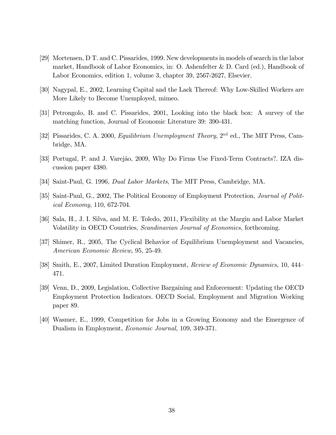- [29] Mortensen, D T. and C. Pissarides, 1999. New developments in models of search in the labor market, Handbook of Labor Economics, in: O. Ashenfelter & D. Card (ed.), Handbook of Labor Economics, edition 1, volume 3, chapter 39, 2567-2627, Elsevier.
- [30] Nagypal, E., 2002, Learning Capital and the Lack Thereof: Why Low-Skilled Workers are More Likely to Become Unemployed, mimeo.
- [31] Petrongolo, B. and C. Pissarides, 2001, Looking into the black box: A survey of the matching function, Journal of Economic Literature 39: 390-431.
- [32] Pissarides, C. A. 2000, Equilibrium Unemployment Theory, 2nd ed., The MIT Press, Cambridge, MA.
- [33] Portugal, P. and J. Varejão, 2009, Why Do Firms Use Fixed-Term Contracts?. IZA discussion paper 4380.
- [34] Saint-Paul, G. 1996, Dual Labor Markets, The MIT Press, Cambridge, MA.
- [35] Saint-Paul, G., 2002, The Political Economy of Employment Protection, Journal of Political Economy, 110, 672-704.
- [36] Sala, H., J. I. Silva, and M. E. Toledo, 2011, Flexibility at the Margin and Labor Market Volatility in OECD Countries, Scandinavian Journal of Economics, forthcoming.
- [37] Shimer, R., 2005, The Cyclical Behavior of Equilibrium Unemployment and Vacancies, American Economic Review, 95, 25-49.
- [38] Smith, E., 2007, Limited Duration Employment, Review of Economic Dynamics, 10, 444 471.
- [39] Venn, D., 2009, Legislation, Collective Bargaining and Enforcement: Updating the OECD Employment Protection Indicators. OECD Social, Employment and Migration Working paper 89.
- [40] Wasmer, E., 1999, Competition for Jobs in a Growing Economy and the Emergence of Dualism in Employment, Economic Journal, 109, 349-371.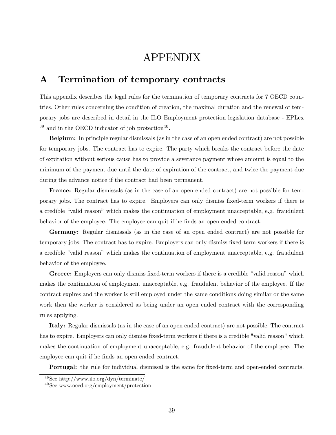# APPENDIX

# A Termination of temporary contracts

This appendix describes the legal rules for the termination of temporary contracts for 7 OECD countries. Other rules concerning the condition of creation, the maximal duration and the renewal of temporary jobs are described in detail in the ILO Employment protection legislation database - EPLex  $39$  and in the OECD indicator of job protection<sup>40</sup>.

Belgium: In principle regular dismissals (as in the case of an open ended contract) are not possible for temporary jobs. The contract has to expire. The party which breaks the contract before the date of expiration without serious cause has to provide a severance payment whose amount is equal to the minimum of the payment due until the date of expiration of the contract, and twice the payment due during the advance notice if the contract had been permanent.

France: Regular dismissals (as in the case of an open ended contract) are not possible for temporary jobs. The contract has to expire. Employers can only dismiss Öxed-term workers if there is a credible "valid reason" which makes the continuation of employment unacceptable, e.g. fraudulent behavior of the employee. The employee can quit if he Önds an open ended contract.

Germany: Regular dismissals (as in the case of an open ended contract) are not possible for temporary jobs. The contract has to expire. Employers can only dismiss Öxed-term workers if there is a credible "valid reason" which makes the continuation of employment unacceptable, e.g. fraudulent behavior of the employee.

Greece: Employers can only dismiss fixed-term workers if there is a credible "valid reason" which makes the continuation of employment unacceptable, e.g. fraudulent behavior of the employee. If the contract expires and the worker is still employed under the same conditions doing similar or the same work then the worker is considered as being under an open ended contract with the corresponding rules applying.

Italy: Regular dismissals (as in the case of an open ended contract) are not possible. The contract has to expire. Employers can only dismiss fixed-term workers if there is a credible "valid reason" which makes the continuation of employment unacceptable, e.g. fraudulent behavior of the employee. The employee can quit if he finds an open ended contract.

**Portugal:** the rule for individual dismissal is the same for fixed-term and open-ended contracts.

<sup>39</sup>See http://www.ilo.org/dyn/terminate/

<sup>40</sup>See www.oecd.org/employment/protection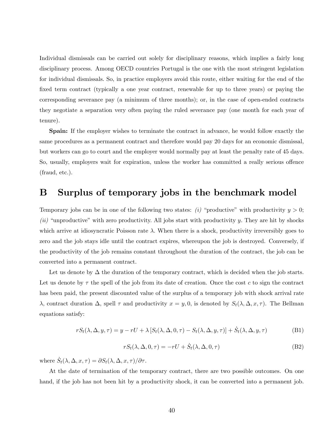Individual dismissals can be carried out solely for disciplinary reasons, which implies a fairly long disciplinary process. Among OECD countries Portugal is the one with the most stringent legislation for individual dismissals. So, in practice employers avoid this route, either waiting for the end of the fixed term contract (typically a one year contract, renewable for up to three years) or paying the corresponding severance pay (a minimum of three months); or, in the case of open-ended contracts they negotiate a separation very often paying the ruled severance pay (one month for each year of tenure).

Spain: If the employer wishes to terminate the contract in advance, he would follow exactly the same procedures as a permanent contract and therefore would pay 20 days for an economic dismissal, but workers can go to court and the employer would normally pay at least the penalty rate of 45 days. So, usually, employers wait for expiration, unless the worker has committed a really serious offence (fraud, etc.).

## B Surplus of temporary jobs in the benchmark model

Temporary jobs can be in one of the following two states: (i) "productive" with productivity  $y > 0$ ; (ii) "unproductive" with zero productivity. All jobs start with productivity  $y$ . They are hit by shocks which arrive at idiosyncratic Poisson rate  $\lambda$ . When there is a shock, productivity irreversibly goes to zero and the job stays idle until the contract expires, whereupon the job is destroyed. Conversely, if the productivity of the job remains constant throughout the duration of the contract, the job can be converted into a permanent contract.

Let us denote by  $\Delta$  the duration of the temporary contract, which is decided when the job starts. Let us denote by  $\tau$  the spell of the job from its date of creation. Once the cost c to sign the contract has been paid, the present discounted value of the surplus of a temporary job with shock arrival rate  $\lambda$ , contract duration  $\Delta$ , spell  $\tau$  and productivity  $x = y, 0$ , is denoted by  $S_t(\lambda, \Delta, x, \tau)$ . The Bellman equations satisfy:

$$
rS_t(\lambda, \Delta, y, \tau) = y - rU + \lambda \left[ S_t(\lambda, \Delta, 0, \tau) - S_t(\lambda, \Delta, y, \tau) \right] + \dot{S}_t(\lambda, \Delta, y, \tau)
$$
(B1)

$$
rS_t(\lambda, \Delta, 0, \tau) = -rU + \dot{S}_t(\lambda, \Delta, 0, \tau)
$$
 (B2)

where  $\dot{S}_t(\lambda, \Delta, x, \tau) = \partial S_t(\lambda, \Delta, x, \tau) / \partial \tau$ .

At the date of termination of the temporary contract, there are two possible outcomes. On one hand, if the job has not been hit by a productivity shock, it can be converted into a permanent job.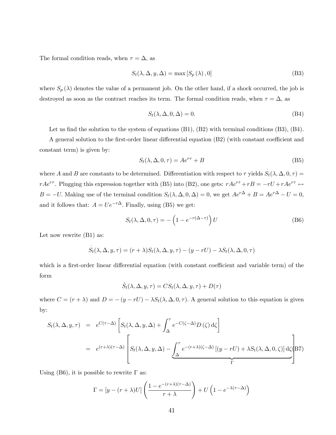The formal condition reads, when  $\tau = \Delta$ , as

$$
S_t(\lambda, \Delta, y, \Delta) = \max \left[ S_p(\lambda), 0 \right] \tag{B3}
$$

where  $S_p(\lambda)$  denotes the value of a permanent job. On the other hand, if a shock occurred, the job is destroyed as soon as the contract reaches its term. The formal condition reads, when  $\tau = \Delta$ , as

$$
S_t(\lambda, \Delta, 0, \Delta) = 0. \tag{B4}
$$

Let us find the solution to the system of equations  $(B1)$ ,  $(B2)$  with terminal conditions  $(B3)$ ,  $(B4)$ .

A general solution to the first-order linear differential equation (B2) (with constant coefficient and constant term) is given by:

$$
S_t(\lambda, \Delta, 0, \tau) = Ae^{r\tau} + B \tag{B5}
$$

where A and B are constants to be determined. Differentiation with respect to  $\tau$  yields  $S_t(\lambda, \Delta, 0, \tau) =$ rAe<sup>r<sub>7</sub></sup>. Plugging this expression together with (B5) into (B2), one gets:  $rAe^{r\tau} + rB = -rU + rAe^{r\tau} \leftrightarrow$  $B = -U$ . Making use of the terminal condition  $S_t(\lambda, \Delta, 0, \Delta) = 0$ , we get  $Ae^{r\Delta} + B = Ae^{r\Delta} - U = 0$ , and it follows that:  $A = Ue^{-r\Delta}$ . Finally, using (B5) we get:

$$
S_t(\lambda, \Delta, 0, \tau) = -\left(1 - e^{-r(\Delta - \tau)}\right)U\tag{B6}
$$

Let now rewrite  $(B1)$  as:

$$
S_t(\lambda, \Delta, y, \tau) = (r + \lambda)S_t(\lambda, \Delta, y, \tau) - (y - rU) - \lambda S_t(\lambda, \Delta, 0, \tau)
$$

which is a first-order linear differential equation (with constant coefficient and variable term) of the form

$$
\dot{S}_t(\lambda, \Delta, y, \tau) = CS_t(\lambda, \Delta, y, \tau) + D(\tau)
$$

where  $C = (r + \lambda)$  and  $D = -(y - rU) - \lambda S_t(\lambda, \Delta, 0, \tau)$ . A general solution to this equation is given by:

$$
S_t(\lambda, \Delta, y, \tau) = e^{C(\tau - \Delta)} \left[ S_t(\lambda, \Delta, y, \Delta) + \int_{\Delta}^{\tau} e^{-C(\zeta - \Delta)} D(\zeta) d\zeta \right]
$$
  
=  $e^{(r+\lambda)(\tau - \Delta)} \left[ S_t(\lambda, \Delta, y, \Delta) - \underbrace{\int_{\Delta}^{\tau} e^{-(r+\lambda)(\zeta - \Delta)} [(y - rU) + \lambda S_t(\lambda, \Delta, 0, \zeta)] d\zeta}_{\Gamma} \right]$ 

Using (B6), it is possible to rewrite  $\Gamma$  as:

$$
\Gamma = [y - (r + \lambda)U] \left( \frac{1 - e^{-(r + \lambda)(\tau - \Delta)}}{r + \lambda} \right) + U \left( 1 - e^{-\lambda(\tau - \Delta)} \right)
$$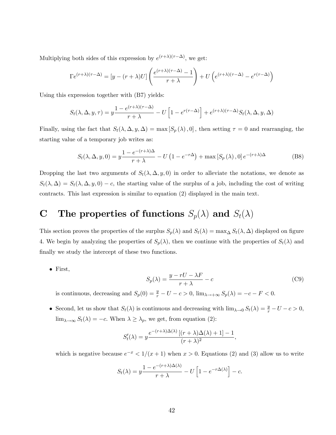Multiplying both sides of this expression by  $e^{(r+\lambda)(\tau-\Delta)}$ , we get:

$$
\Gamma e^{(r+\lambda)(\tau-\Delta)} = [y - (r+\lambda)U] \left( \frac{e^{(r+\lambda)(\tau-\Delta)} - 1}{r+\lambda} \right) + U \left( e^{(r+\lambda)(\tau-\Delta)} - e^{r(\tau-\Delta)} \right)
$$

Using this expression together with (B7) yields:

$$
S_t(\lambda, \Delta, y, \tau) = y \frac{1 - e^{(r + \lambda)(\tau - \Delta)}}{r + \lambda} - U \left[ 1 - e^{r(\tau - \Delta)} \right] + e^{(r + \lambda)(\tau - \Delta)} S_t(\lambda, \Delta, y, \Delta)
$$

Finally, using the fact that  $S_t(\lambda, \Delta, y, \Delta) = \max [S_p(\lambda), 0]$ , then setting  $\tau = 0$  and rearranging, the starting value of a temporary job writes as:

$$
S_t(\lambda, \Delta, y, 0) = y \frac{1 - e^{-(r + \lambda)\Delta}}{r + \lambda} - U\left(1 - e^{-r\Delta}\right) + \max\left[S_p(\lambda), 0\right] e^{-(r + \lambda)\Delta}
$$
(B8)

Dropping the last two arguments of  $S_t(\lambda, \Delta, y, 0)$  in order to alleviate the notations, we denote as  $S_t(\lambda, \Delta) = S_t(\lambda, \Delta, y, 0) - c$ , the starting value of the surplus of a job, including the cost of writing contracts. This last expression is similar to equation (2) displayed in the main text.

# C The properties of functions  $S_p(\lambda)$  and  $S_t(\lambda)$

This section proves the properties of the surplus  $S_p(\lambda)$  and  $S_t(\lambda) = \max_{\Delta} S_t(\lambda, \Delta)$  displayed on figure 4. We begin by analyzing the properties of  $S_p(\lambda)$ , then we continue with the properties of  $S_t(\lambda)$  and finally we study the intercept of these two functions.

• First,

$$
S_p(\lambda) = \frac{y - rU - \lambda F}{r + \lambda} - c \tag{C9}
$$

is continuous, decreasing and  $S_p(0) = \frac{y}{r} - U - c > 0$ ,  $\lim_{\lambda \to +\infty} S_p(\lambda) = -c - F < 0$ .

Second, let us show that  $S_t(\lambda)$  is continuous and decreasing with  $\lim_{\lambda\to 0} S_t(\lambda) = \frac{y}{r} - U - c > 0$ ,  $\lim_{\lambda \to \infty} S_t(\lambda) = -c$ . When  $\lambda \geq \lambda_p$ , we get, from equation (2):

$$
S'_{t}(\lambda) = y \frac{e^{-(r+\lambda)\Delta(\lambda)} \left[ (r+\lambda)\Delta(\lambda) + 1 \right] - 1}{(r+\lambda)^{2}},
$$

which is negative because  $e^{-x} < 1/(x+1)$  when  $x > 0$ . Equations (2) and (3) allow us to write

$$
S_t(\lambda) = y \frac{1 - e^{-(r + \lambda)\Delta(\lambda)}}{r + \lambda} - U \left[ 1 - e^{-r\Delta(\lambda)} \right] - c.
$$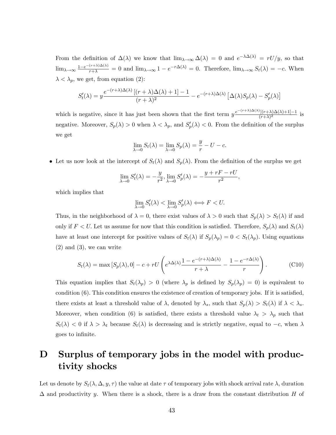From the definition of  $\Delta(\lambda)$  we know that  $\lim_{\lambda\to\infty}\Delta(\lambda) = 0$  and  $e^{-\lambda\Delta(\lambda)} = rU/y$ , so that  $\lim_{\lambda \to \infty} \frac{1 - e^{-(r+\lambda)\Delta(\lambda)}}{r+\lambda} = 0$  and  $\lim_{\lambda \to \infty} 1 - e^{-r\Delta(\lambda)} = 0$ . Therefore,  $\lim_{\lambda \to \infty} S_t(\lambda) = -c$ . When  $\lambda < \lambda_p$ , we get, from equation (2):

$$
S'_{t}(\lambda) = y \frac{e^{-(r+\lambda)\Delta(\lambda)} \left[ (r+\lambda)\Delta(\lambda) + 1 \right] - 1}{(r+\lambda)^2} - e^{-(r+\lambda)\Delta(\lambda)} \left[ \Delta(\lambda) S_p(\lambda) - S'_p(\lambda) \right]
$$

which is negative, since it has just been shown that the first term  $y \frac{e^{-(r+\lambda)\Delta(\lambda)}[(r+\lambda)\Delta(\lambda)+1]-1}{(r+\lambda)^2}$  is negative. Moreover,  $S_p(\lambda) > 0$  when  $\lambda < \lambda_p$ , and  $S_p'(\lambda) < 0$ . From the definition of the surplus we get

$$
\lim_{\lambda \to 0} S_t(\lambda) = \lim_{\lambda \to 0} S_p(\lambda) = \frac{y}{r} - U - c.
$$

• Let us now look at the intercept of  $S_t(\lambda)$  and  $S_p(\lambda)$ . From the definition of the surplus we get

$$
\lim_{\lambda \to 0} S'_t(\lambda) = -\frac{y}{r^2}, \lim_{\lambda \to 0} S'_p(\lambda) = -\frac{y + rF - rU}{r^2},
$$

which implies that

$$
\lim_{\lambda \to 0} S_t'(\lambda) < \lim_{\lambda \to 0} S_p'(\lambda) \iff F < U.
$$

Thus, in the neighborhood of  $\lambda = 0$ , there exist values of  $\lambda > 0$  such that  $S_p(\lambda) > S_t(\lambda)$  if and only if  $F < U$ . Let us assume for now that this condition is satisfied. Therefore,  $S_p(\lambda)$  and  $S_t(\lambda)$ have at least one intercept for positive values of  $S_t(\lambda)$  if  $S_p(\lambda_p) = 0 < S_t(\lambda_p)$ . Using equations  $(2)$  and  $(3)$ , we can write

$$
S_t(\lambda) = \max \left[ S_p(\lambda), 0 \right] - c + rU \left( e^{\lambda \Delta(\lambda)} \frac{1 - e^{-(r + \lambda)\Delta(\lambda)}}{r + \lambda} - \frac{1 - e^{-r\Delta(\lambda)}}{r} \right). \tag{C10}
$$

This equation implies that  $S_t(\lambda_p) > 0$  (where  $\lambda_p$  is defined by  $S_p(\lambda_p) = 0$ ) is equivalent to condition  $(6)$ . This condition ensures the existence of creation of temporary jobs. If it is satisfied, there exists at least a threshold value of  $\lambda$ , denoted by  $\lambda_s$ , such that  $S_p(\lambda) > S_t(\lambda)$  if  $\lambda < \lambda_s$ . Moreover, when condition (6) is satisfied, there exists a threshold value  $\lambda_t > \lambda_p$  such that  $S_t(\lambda) < 0$  if  $\lambda > \lambda_t$  because  $S_t(\lambda)$  is decreasing and is strictly negative, equal to  $-c$ , when  $\lambda$ goes to infinite.

# D Surplus of temporary jobs in the model with productivity shocks

Let us denote by  $S_t(\lambda, \Delta, y, \tau)$  the value at date  $\tau$  of temporary jobs with shock arrival rate  $\lambda$ , duration  $\Delta$  and productivity y. When there is a shock, there is a draw from the constant distribution H of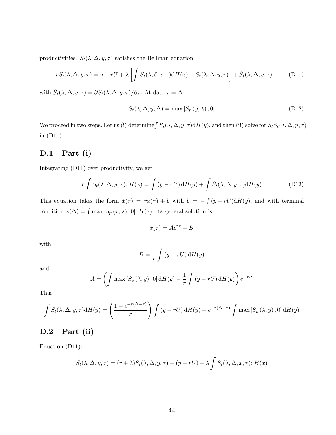productivities.  $S_t(\lambda, \Delta, y, \tau)$  satisfies the Bellman equation

$$
rS_t(\lambda, \Delta, y, \tau) = y - rU + \lambda \left[ \int S_t(\lambda, \delta, x, \tau) dH(x) - S_t(\lambda, \Delta, y, \tau) \right] + \dot{S}_t(\lambda, \Delta, y, \tau) \tag{D11}
$$

with  $\dot{S}_t(\lambda, \Delta, y, \tau) = \partial S_t(\lambda, \Delta, y, \tau) / \partial \tau$ . At date  $\tau = \Delta$ :

$$
S_t(\lambda, \Delta, y, \Delta) = \max \left[ S_p(y, \lambda), 0 \right] \tag{D12}
$$

We proceed in two steps. Let us (i) determine  $\int S_t(\lambda, \Delta, y, \tau) dH(y)$ , and then (ii) solve for  $S_tS_t(\lambda, \Delta, y, \tau)$ in (D11).

### D.1 Part (i)

Integrating (D11) over productivity, we get

$$
r \int S_t(\lambda, \Delta, y, \tau) dH(x) = \int (y - rU) dH(y) + \int \dot{S}_t(\lambda, \Delta, y, \tau) dH(y)
$$
 (D13)

This equation takes the form  $\dot{x}(\tau) = rx(\tau) + b$  with  $b = -\int (y - rU)dH(y)$ , and with terminal condition  $x(\Delta) = \int \max [S_p(x, \lambda), 0] dH(x)$ . Its general solution is :

$$
x(\tau) = Ae^{r\tau} + B
$$

with

$$
B = \frac{1}{r} \int (y - rU) \,dH(y)
$$

and

$$
A = \left( \int \max \left[ S_p \left( \lambda, y \right), 0 \right] \mathrm{d}H(y) - \frac{1}{r} \int \left( y - rU \right) \mathrm{d}H(y) \right) e^{-r\Delta}
$$

Thus

$$
\int S_t(\lambda, \Delta, y, \tau) dH(y) = \left(\frac{1 - e^{-r(\Delta - \tau)}}{r}\right) \int (y - rU) dH(y) + e^{-r(\Delta - \tau)} \int \max\left[S_p(\lambda, y), 0\right] dH(y)
$$

### D.2 Part (ii)

Equation (D11):

$$
S_t(\lambda, \Delta, y, \tau) = (r + \lambda)S_t(\lambda, \Delta, y, \tau) - (y - rU) - \lambda \int S_t(\lambda, \Delta, x, \tau) dH(x)
$$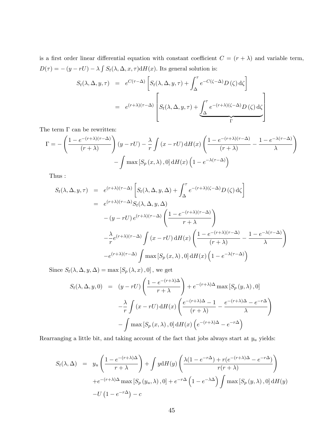is a first order linear differential equation with constant coefficient  $C = (r + \lambda)$  and variable term,  $D(\tau) = -(y - rU) - \lambda \int S_t(\lambda, \Delta, x, \tau) dH(x)$ . Its general solution is:

$$
S_t(\lambda, \Delta, y, \tau) = e^{C(\tau - \Delta)} \left[ S_t(\lambda, \Delta, y, \tau) + \int_{\Delta}^{\tau} e^{-C(\zeta - \Delta)} D(\zeta) d\zeta \right]
$$
  
=  $e^{(r+\lambda)(\tau - \Delta)} \left[ S_t(\lambda, \Delta, y, \tau) + \underbrace{\int_{\Delta}^{\tau} e^{-(r+\lambda)(\zeta - \Delta)} D(\zeta) d\zeta} \right]$ 

The term  $\Gamma$  can be rewritten:

$$
\Gamma = -\left(\frac{1 - e^{-(r+\lambda)(\tau-\Delta)}}{(r+\lambda)}\right)(y - rU) - \frac{\lambda}{r} \int (x - rU) dH(x) \left(\frac{1 - e^{-(r+\lambda)(\tau-\Delta)}}{(r+\lambda)} - \frac{1 - e^{-\lambda(\tau-\Delta)}}{\lambda}\right) - \int \max\left[S_p(x,\lambda),0\right] dH(x) \left(1 - e^{-\lambda(\tau-\Delta)}\right)
$$

Thus :

$$
S_t(\lambda, \Delta, y, \tau) = e^{(r+\lambda)(\tau-\Delta)} \left[ S_t(\lambda, \Delta, y, \Delta) + \int_{\Delta}^{\tau} e^{-(r+\lambda)(\zeta-\Delta)} D(\zeta) d\zeta \right]
$$
  
\n
$$
= e^{(r+\lambda)(\tau-\Delta)} S_t(\lambda, \Delta, y, \Delta)
$$
  
\n
$$
- (y-rU) e^{(r+\lambda)(\tau-\Delta)} \left( \frac{1 - e^{-(r+\lambda)(\tau-\Delta)}}{r+\lambda} \right)
$$
  
\n
$$
- \frac{\lambda}{r} e^{(r+\lambda)(\tau-\Delta)} \int (x-rU) dH(x) \left( \frac{1 - e^{-(r+\lambda)(\tau-\Delta)}}{(\tau+\lambda)} - \frac{1 - e^{-\lambda(\tau-\Delta)}}{\lambda} \right)
$$
  
\n
$$
-e^{(r+\lambda)(\tau-\Delta)} \int \max [S_p(x, \lambda), 0] dH(x) \left( 1 - e^{-\lambda(\tau-\Delta)} \right)
$$

Since  $S_t(\lambda, \Delta, y, \Delta) = \max\left[S_p\left(\lambda, x\right), 0\right],$  we get

$$
S_t(\lambda, \Delta, y, 0) = (y - rU) \left( \frac{1 - e^{-(r + \lambda)\Delta}}{r + \lambda} \right) + e^{-(r + \lambda)\Delta} \max \left[ S_p(y, \lambda), 0 \right]
$$

$$
- \frac{\lambda}{r} \int (x - rU) dH(x) \left( \frac{e^{-(r + \lambda)\Delta} - 1}{(r + \lambda)} - \frac{e^{-(r + \lambda)\Delta} - e^{-r\Delta}}{\lambda} \right)
$$

$$
- \int \max \left[ S_p(x, \lambda), 0 \right] dH(x) \left( e^{-(r + \lambda)\Delta} - e^{-r\Delta} \right)
$$

Rearranging a little bit, and taking account of the fact that jobs always start at  $y_u$  yields:

$$
S_t(\lambda, \Delta) = y_u \left( \frac{1 - e^{-(r + \lambda)\Delta}}{r + \lambda} \right) + \int y \mathrm{d}H(y) \left( \frac{\lambda (1 - e^{-r\Delta}) + r(e^{-(r + \lambda)\Delta} - e^{-r\Delta})}{r(r + \lambda)} \right)
$$
  
+ 
$$
e^{-(r + \lambda)\Delta} \max [S_p(y_u, \lambda), 0] + e^{-r\Delta} \left( 1 - e^{-\lambda\Delta} \right) \int \max [S_p(y, \lambda), 0] \, \mathrm{d}H(y)
$$
  
- 
$$
U \left( 1 - e^{-r\Delta} \right) - c
$$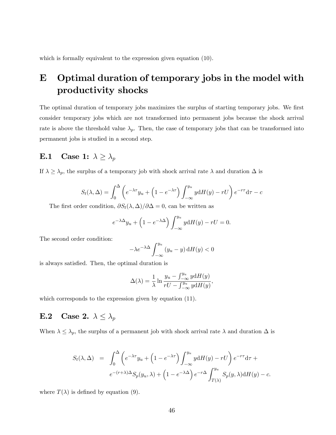which is formally equivalent to the expression given equation (10).

# E Optimal duration of temporary jobs in the model with productivity shocks

The optimal duration of temporary jobs maximizes the surplus of starting temporary jobs. We first consider temporary jobs which are not transformed into permanent jobs because the shock arrival rate is above the threshold value  $\lambda_p$ . Then, the case of temporary jobs that can be transformed into permanent jobs is studied in a second step.

# E.1 Case 1:  $\lambda \geq \lambda_p$

If  $\lambda \geq \lambda_p$ , the surplus of a temporary job with shock arrival rate  $\lambda$  and duration  $\Delta$  is

$$
S_t(\lambda, \Delta) = \int_0^{\Delta} \left( e^{-\lambda \tau} y_u + \left( 1 - e^{-\lambda \tau} \right) \int_{-\infty}^{y_u} y \mathrm{d}H(y) - rU \right) e^{-r\tau} \mathrm{d}\tau - c
$$

The first order condition,  $\partial S_t(\lambda, \Delta)/\partial \Delta = 0$ , can be written as

$$
e^{-\lambda \Delta} y_u + \left(1 - e^{-\lambda \Delta}\right) \int_{-\infty}^{y_u} y \mathrm{d}H(y) - rU = 0.
$$

The second order condition:

$$
-\lambda e^{-\lambda \Delta} \int_{-\infty}^{y_u} (y_u - y) \, dH(y) < 0
$$

is always satisfied. Then, the optimal duration is

$$
\Delta(\lambda) = \frac{1}{\lambda} \ln \frac{y_u - \int_{-\infty}^{y_u} y \mathrm{d}H(y)}{rU - \int_{-\infty}^{y_u} y \mathrm{d}H(y)},
$$

which corresponds to the expression given by equation (11).

# E.2 Case 2.  $\lambda \leq \lambda_p$

When  $\lambda \leq \lambda_p$ , the surplus of a permanent job with shock arrival rate  $\lambda$  and duration  $\Delta$  is

$$
S_t(\lambda, \Delta) = \int_0^{\Delta} \left( e^{-\lambda \tau} y_u + \left( 1 - e^{-\lambda \tau} \right) \int_{-\infty}^{y_u} y \mathrm{d}H(y) - rU \right) e^{-r\tau} \mathrm{d}\tau +
$$

$$
e^{-(r+\lambda)\Delta} S_p(y_u, \lambda) + \left( 1 - e^{-\lambda \Delta} \right) e^{-r\Delta} \int_{T(\lambda)}^{y_u} S_p(y, \lambda) \mathrm{d}H(y) - c.
$$

where  $T(\lambda)$  is defined by equation (9).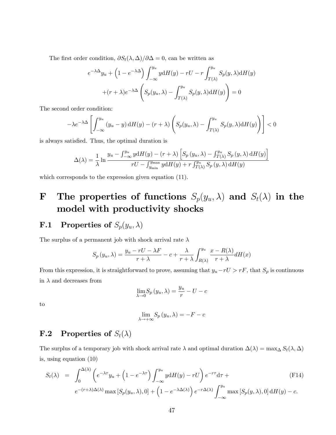The first order condition,  $\partial S_t(\lambda, \Delta)/\partial \Delta = 0$ , can be written as

$$
e^{-\lambda \Delta} y_u + \left(1 - e^{-\lambda \Delta}\right) \int_{-\infty}^{y_u} y \mathrm{d}H(y) - rU - r \int_{T(\lambda)}^{y_u} S_p(y, \lambda) \mathrm{d}H(y) + (r + \lambda)e^{-\lambda \Delta} \left( S_p(y_u, \lambda) - \int_{T(\lambda)}^{y_u} S_p(y, \lambda) \mathrm{d}H(y) \right) = 0
$$

The second order condition:

$$
-\lambda e^{-\lambda \Delta} \left[ \int_{-\infty}^{y_u} (y_u - y) \, dH(y) - (r + \lambda) \left( S_p(y_u, \lambda) - \int_{T(\lambda)}^{y_u} S_p(y, \lambda) \, dH(y) \right) \right] < 0
$$

is always satisfied. Thus, the optimal duration is

$$
\Delta(\lambda) = \frac{1}{\lambda} \ln \frac{y_u - \int_{-\infty}^{y_u} y \mathrm{d}H(y) - (r + \lambda) \left[ S_p(y_u, \lambda) - \int_{T(\lambda)}^{y_u} S_p(y, \lambda) \mathrm{d}H(y) \right]}{rU - \int_{y_{\min}}^{y_{\max}} y \mathrm{d}H(y) + r \int_{T(\lambda)}^{y_u} S_p(y, \lambda) \mathrm{d}H(y)}
$$

which corresponds to the expression given equation  $(11)$ .

# F The properties of functions  $S_p(y_u, \lambda)$  and  $S_t(\lambda)$  in the model with productivity shocks

# **F.1** Properties of  $S_p(y_u, \lambda)$

The surplus of a permanent job with shock arrival rate  $\lambda$ 

$$
S_p(y_u, \lambda) = \frac{y_u - rU - \lambda F}{r + \lambda} - c + \frac{\lambda}{r + \lambda} \int_{R(\lambda)}^{y_u} \frac{x - R(\lambda)}{r + \lambda} dH(x)
$$

From this expression, it is straightforward to prove, assuming that  $y_u - rU > rF$ , that  $S_p$  is continuous in  $\lambda$  and decreases from

$$
\lim_{\lambda \to 0} S_p(y_u, \lambda) = \frac{y_u}{r} - U - c
$$

to

$$
\lim_{\lambda \to +\infty} S_p(y_u, \lambda) = -F - c
$$

# **F.2** Properties of  $S_t(\lambda)$

The surplus of a temporary job with shock arrival rate  $\lambda$  and optimal duration  $\Delta(\lambda) = \max_{\Delta} S_t(\lambda, \Delta)$ is, using equation (10)

$$
S_t(\lambda) = \int_0^{\Delta(\lambda)} \left( e^{-\lambda \tau} y_u + \left( 1 - e^{-\lambda \tau} \right) \int_{-\infty}^{y_u} y \mathrm{d}H(y) - rU \right) e^{-r\tau} \mathrm{d}\tau +
$$
\n
$$
e^{-(r+\lambda)\Delta(\lambda)} \max \left[ S_p(y_u, \lambda), 0 \right] + \left( 1 - e^{-\lambda \Delta(\lambda)} \right) e^{-r\Delta(\lambda)} \int_{-\infty}^{y_u} \max \left[ S_p(y, \lambda), 0 \right] \mathrm{d}H(y) - c.
$$
\n(F14)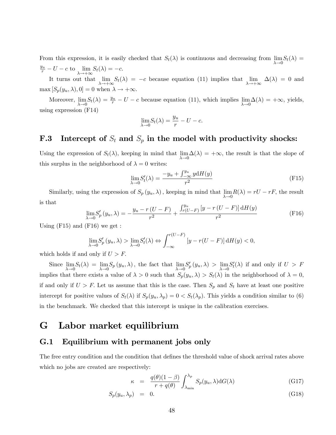From this expression, it is easily checked that  $S_t(\lambda)$  is continuous and decreasing from  $\lim_{\lambda \to 0}$  $\lambda \rightarrow 0$  $S_t(\lambda) =$  $\frac{y_u}{r} - U - c$  to  $\lim_{\lambda \to +\infty} S_t(\lambda) = -c.$ 

It turns out that lim  $\lim_{\lambda \to +\infty} S_t(\lambda) = -c$  because equation (11) implies that  $\lim_{\lambda \to +\infty}$  $\Delta(\lambda) = 0$  and  $\max [S_p(y_u, \lambda), 0] = 0$  when  $\lambda \to +\infty$ .

Moreover, lim  $\lambda \rightarrow 0$  $S_t(\lambda) = \frac{y_u}{r} - U - c$  because equation (11), which implies  $\lim_{\lambda \to 0} \Delta(\lambda) = +\infty$ , yields, using expression (F14)

$$
\lim_{\lambda \to 0} S_t(\lambda) = \frac{y_u}{r} - U - c.
$$

### **F.3** Intercept of  $S_t$  and  $S_p$  in the model with productivity shocks:

Using the expression of  $S_t(\lambda)$ , keeping in mind that  $\lim_{\lambda \to 0}$  $\lim_{\lambda \to 0} \Delta(\lambda) = +\infty$ , the result is that the slope of this surplus in the neighborhood of  $\lambda = 0$  writes:

$$
\lim_{\lambda \to 0} S_t'(\lambda) = \frac{-y_u + \int_{-\infty}^{y_u} y \mathrm{d}H(y)}{r^2} \tag{F15}
$$

Similarly, using the expression of  $S_p(y_u, \lambda)$ , keeping in mind that lim  $\lim_{\lambda \to 0} R(\lambda) = rU - rF$ , the result

is that

$$
\lim_{\lambda \to 0} S'_p(y_u, \lambda) = -\frac{y_u - r(U - F)}{r^2} + \frac{\int_{r(U - F)}^{y_u} [y - r(U - F)] dH(y)}{r^2}
$$
(F16)

Using  $(F15)$  and  $(F16)$  we get :

$$
\lim_{\lambda \to 0} S'_p(y_u, \lambda) > \lim_{\lambda \to 0} S'_t(\lambda) \Leftrightarrow \int_{-\infty}^{r(U-F)} [y - r(U - F)] \, \mathrm{d}H(y) < 0,
$$

which holds if and only if  $U > F$ .

Since lim  $\lambda \rightarrow 0$  $S_t(\lambda) = \lim_{h \to 0}$  $\lambda \rightarrow 0$  $S_p(y_u, \lambda)$ , the fact that  $\lim_{\lambda \to 0}$  $\lambda \rightarrow 0$  $S'_p(y_u, \lambda) > \lim_{\lambda \to 0}$  $\lambda \rightarrow 0$  $S_t'(\lambda)$  if and only if  $U > F$ implies that there exists a value of  $\lambda > 0$  such that  $S_p(y_u, \lambda) > S_t(\lambda)$  in the neighborhood of  $\lambda = 0$ , if and only if  $U > F$ . Let us assume that this is the case. Then  $S_p$  and  $S_t$  have at least one positive intercept for positive values of  $S_t(\lambda)$  if  $S_p(y_u, \lambda_p) = 0 < S_t(\lambda_p)$ . This yields a condition similar to (6) in the benchmark. We checked that this intercept is unique in the calibration exercises.

### G Labor market equilibrium

### G.1 Equilibrium with permanent jobs only

The free entry condition and the condition that defines the threshold value of shock arrival rates above which no jobs are created are respectively:

$$
\kappa = \frac{q(\theta)(1-\beta)}{r+q(\theta)} \int_{\lambda_{\min}}^{\lambda_p} S_p(y_u, \lambda) dG(\lambda)
$$
 (G17)

Sp(yu; p) = 0: (G18)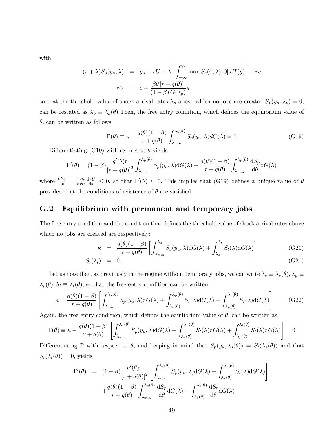with

$$
(r + \lambda)S_p(y_u, \lambda) = y_u - rU + \lambda \left[ \int_{-\infty}^{y_u} \max[S_c(x, \lambda), 0] dH(y) \right] - rc
$$

$$
rU = z + \frac{\beta \theta [r + q(\theta)]}{(1 - \beta) G(\lambda_p)} \kappa
$$

so that the threshold value of shock arrival rates  $\lambda_p$  above which no jobs are created  $S_p(y_u, \lambda_p) = 0$ , can be restated as  $\lambda_p \equiv \lambda_p(\theta)$ . Then, the free entry condition, which defines the equilibrium value of  $\theta$ , can be written as follows

$$
\Gamma(\theta) \equiv \kappa - \frac{q(\theta)(1-\beta)}{r+q(\theta)} \int_{\lambda_{\min}}^{\lambda_p(\theta)} S_p(y_u, \lambda) dG(\lambda) = 0
$$
\n(G19)

Differentiating (G19) with respect to  $\theta$  yields

$$
\Gamma'(\theta) = (1 - \beta) \frac{q'(\theta)r}{[r + q(\theta)]^2} \int_{\lambda_{\min}}^{\lambda_p(\theta)} S_p(y_u, \lambda) dG(\lambda) + \frac{q(\theta)(1 - \beta)}{r + q(\theta)} \int_{\lambda_{\min}}^{\lambda_p(\theta)} \frac{dS_p}{d\theta} dG(\lambda)
$$

where  $\frac{\mathrm{d}S_p}{\mathrm{d}\theta} = \frac{\mathrm{d}S_p}{\mathrm{d}rU}$  $drU$  $\frac{d r U}{d \theta} \leq 0$ , so that  $\Gamma'(\theta) \leq 0$ . This implies that (G19) defines a unique value of  $\theta$ provided that the conditions of existence of  $\theta$  are satisfied.

### G.2 Equilibrium with permanent and temporary jobs

The free entry condition and the condition that defines the threshold value of shock arrival rates above which no jobs are created are respectively:

$$
\kappa = \frac{q(\theta)(1-\beta)}{r+q(\theta)} \left[ \int_{\lambda_{\min}}^{\lambda_s} S_p(y_u, \lambda) dG(\lambda) + \int_{\lambda_s}^{\lambda_t} S_t(\lambda) dG(\lambda) \right]
$$
(G20)

$$
S_t(\lambda_t) = 0. \tag{G21}
$$

Let us note that, as previously in the regime without temporary jobs, we can write  $\lambda_s \equiv \lambda_s(\theta), \lambda_p \equiv$  $\lambda_p(\theta), \lambda_t \equiv \lambda_t(\theta)$ , so that the free entry condition can be written

$$
\kappa = \frac{q(\theta)(1-\beta)}{r+q(\theta)} \left[ \int_{\lambda_{\min}}^{\lambda_s(\theta)} S_p(y_u, \lambda) dG(\lambda) + \int_{\lambda_s(\theta)}^{\lambda_p(\theta)} S_t(\lambda) dG(\lambda) + \int_{\lambda_p(\theta)}^{\lambda_t(\theta)} S_t(\lambda) dG(\lambda) \right]
$$
(G22)

Again, the free entry condition, which defines the equilibrium value of  $\theta$ , can be written as

$$
\Gamma(\theta) \equiv \kappa - \frac{q(\theta)(1-\beta)}{r+q(\theta)} \left[ \int_{\lambda_{\min}}^{\lambda_s(\theta)} S_p(y_u, \lambda) dG(\lambda) + \int_{\lambda_s(\theta)}^{\lambda_p(\theta)} S_t(\lambda) dG(\lambda) + \int_{\lambda_p(\theta)}^{\lambda_t(\theta)} S_t(\lambda) dG(\lambda) \right] = 0
$$

Differentiating  $\Gamma$  with respect to  $\theta$ , and keeping in mind that  $S_p(y_u, \lambda_s(\theta)) = S_t(\lambda_s(\theta))$  and that  $S_t(\lambda_t(\theta)) = 0$ , yields

$$
\Gamma'(\theta) = (1 - \beta) \frac{q'(\theta)r}{[r + q(\theta)]^2} \left[ \int_{\lambda_{\min}}^{\lambda_s(\theta)} S_p(y_u, \lambda) dG(\lambda) + \int_{\lambda_s(\theta)}^{\lambda_t(\theta)} S_t(\lambda) dG(\lambda) \right] + \frac{q(\theta)(1 - \beta)}{r + q(\theta)} \int_{\lambda_{\min}}^{\lambda_s(\theta)} \frac{dS_p}{d\theta} dG(\lambda) + \int_{\lambda_s(\theta)}^{\lambda_t(\theta)} \frac{dS_t}{d\theta} dG(\lambda)
$$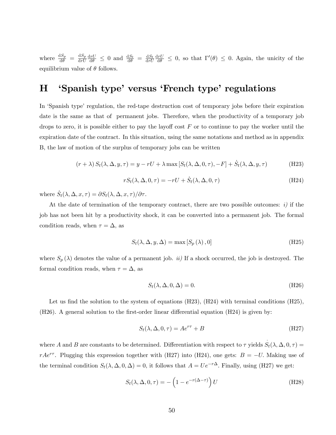where  $\frac{\mathrm{d}S_p}{\mathrm{d}\theta} = \frac{\mathrm{d}S_p}{\mathrm{d}rU}$  $\mathrm{d}rU$  $\frac{d r U}{d \theta} \leq 0$  and  $\frac{d S_t}{d \theta} = \frac{d S_t}{d r U}$  $\frac{d r U}{d \theta} \leq 0$ , so that  $\Gamma'(\theta) \leq 0$ . Again, the unicity of the equilibrium value of  $\theta$  follows.

# H 'Spanish type' versus 'French type' regulations

In 'Spanish type' regulation, the red-tape destruction cost of temporary jobs before their expiration date is the same as that of permanent jobs. Therefore, when the productivity of a temporary job drops to zero, it is possible either to pay the layoff cost  $F$  or to continue to pay the worker until the expiration date of the contract. In this situation, using the same notations and method as in appendix B, the law of motion of the surplus of temporary jobs can be written

$$
(r + \lambda) S_t(\lambda, \Delta, y, \tau) = y - rU + \lambda \max \left[ S_t(\lambda, \Delta, 0, \tau), -F \right] + \dot{S}_t(\lambda, \Delta, y, \tau)
$$
(H23)

$$
rS_t(\lambda, \Delta, 0, \tau) = -rU + \dot{S}_t(\lambda, \Delta, 0, \tau)
$$
\n(H24)

where  $\dot{S}_t(\lambda, \Delta, x, \tau) = \partial S_t(\lambda, \Delta, x, \tau) / \partial \tau$ .

At the date of termination of the temporary contract, there are two possible outcomes:  $i$ ) if the job has not been hit by a productivity shock, it can be converted into a permanent job. The formal condition reads, when  $\tau = \Delta$ , as

$$
S_t(\lambda, \Delta, y, \Delta) = \max \left[ S_p(\lambda), 0 \right] \tag{H25}
$$

where  $S_p(\lambda)$  denotes the value of a permanent job. *ii*) If a shock occurred, the job is destroyed. The formal condition reads, when  $\tau = \Delta$ , as

$$
S_t(\lambda, \Delta, 0, \Delta) = 0. \tag{H26}
$$

Let us find the solution to the system of equations  $(H23)$ ,  $(H24)$  with terminal conditions  $(H25)$ ,  $(H26)$ . A general solution to the first-order linear differential equation  $(H24)$  is given by:

$$
S_t(\lambda, \Delta, 0, \tau) = Ae^{r\tau} + B \tag{H27}
$$

where A and B are constants to be determined. Differentiation with respect to  $\tau$  yields  $S_t(\lambda, \Delta, 0, \tau) =$ r $Ae^{r\tau}$ . Plugging this expression together with (H27) into (H24), one gets:  $B = -U$ . Making use of the terminal condition  $S_t(\lambda, \Delta, 0, \Delta) = 0$ , it follows that  $A = Ue^{-r\Delta}$ . Finally, using (H27) we get:

$$
S_t(\lambda, \Delta, 0, \tau) = -\left(1 - e^{-r(\Delta - \tau)}\right)U\tag{H28}
$$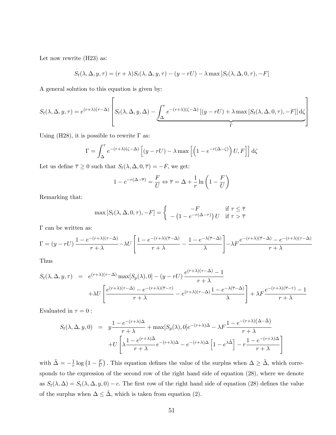Let now rewrite (H23) as:

$$
S_t(\lambda, \Delta, y, \tau) = (r + \lambda)S_t(\lambda, \Delta, y, \tau) - (y - rU) - \lambda \max[S_t(\lambda, \Delta, 0, \tau), -F]
$$

A general solution to this equation is given by:

$$
S_t(\lambda, \Delta, y, \tau) = e^{(r+\lambda)(\tau-\Delta)} \left[ S_t(\lambda, \Delta, y, \Delta) - \underbrace{\int_{\Delta}^{\tau} e^{-(r+\lambda)(\zeta-\Delta)} [(y-rU) + \lambda \max [S_t(\lambda, \Delta, 0, \tau), -F]] \, d\zeta}_{\Gamma} \right]
$$

Using (H28), it is possible to rewrite  $\Gamma$  as:

$$
\Gamma = \int_{\Delta}^{\tau} e^{-(r+\lambda)(\zeta-\Delta)} \left[ (y-rU) - \lambda \max \left[ \left( 1 - e^{-r(\Delta-\zeta)} \right) U, F \right] \right] d\zeta
$$

Let us define  $\overline{\tau} \geq 0$  such that  $S_t(\lambda, \Delta, 0, \overline{\tau}) = -F$ , we get:

$$
1 - e^{-r(\Delta - \overline{\tau})} = \frac{F}{U} \Leftrightarrow \overline{\tau} = \Delta + \frac{1}{r} \ln \left( 1 - \frac{F}{U} \right)
$$

Remarking that:

$$
\max\left[S_t(\lambda,\Delta,0,\tau), -F\right] = \begin{cases} -F & \text{if } \tau \le \overline{\tau} \\ -(1 - e^{-r(\Delta - \tau)}) U & \text{if } \tau > \overline{\tau} \end{cases}
$$

 $\Gamma$  can be written as:

$$
\Gamma = (y - rU) \frac{1 - e^{-(r+\lambda)(\tau-\Delta)}}{r+\lambda} - \lambda U \left[ \frac{1 - e^{-(r+\lambda)(\overline{\tau}-\Delta)}}{r+\lambda} - \frac{1 - e^{-\lambda(\overline{\tau}-\Delta)}}{\lambda} \right] - \lambda F \frac{e^{-(r+\lambda)(\overline{\tau}-\Delta)} - e^{-(r+\lambda)(\tau-\Delta)}}{r+\lambda}
$$

Thus

$$
S_t(\lambda, \Delta, y, \tau) = e^{(r+\lambda)(\tau-\Delta)} \max[S_p(\lambda), 0] - (y - rU) \frac{e^{(r+\lambda)(\tau-\Delta)} - 1}{r+\lambda}
$$

$$
+ \lambda U \left[ \frac{e^{(r+\lambda)(\tau-\Delta)} - e^{-(r+\lambda)(\tau-\tau)}}{r+\lambda} - e^{(r+\lambda)(\tau-\Delta)} \frac{1 - e^{-\lambda(\tau-\Delta)}}{\lambda} \right] + \lambda F \frac{e^{-(r+\lambda)(\tau-\tau)} - 1}{r+\lambda}
$$

Evaluated in  $\tau=0$  :

$$
S_t(\lambda, \Delta, y, 0) = y \frac{1 - e^{-(r + \lambda)\Delta}}{r + \lambda} + \max[S_p(\lambda), 0]e^{-(r + \lambda)\Delta} - \lambda F \frac{1 - e^{-(r + \lambda)(\Delta - \tilde{\Delta})}}{r + \lambda}
$$

$$
+ U \left[ \lambda \frac{1 - e^{(r + \lambda)\tilde{\Delta}}}{r + \lambda} e^{-(r + \lambda)\Delta} - e^{-(r + \lambda)\Delta} \left[ 1 - e^{\lambda \tilde{\Delta}} \right] - r \frac{1 - e^{-(r + \lambda)\Delta}}{r + \lambda} \right]
$$

with  $\tilde{\Delta} = -\frac{1}{r}$  $\frac{1}{r} \log \left( 1 - \frac{F}{U} \right)$  $\frac{F}{U}$ ). This equation defines the value of the surplus when  $\Delta \geq \tilde{\Delta}$ , which corresponds to the expression of the second row of the right hand side of equation (28), where we denote as  $S_t(\lambda, \Delta) = S_t(\lambda, \Delta, y, 0) - c$ . The first row of the right hand side of equation (28) defines the value of the surplus when  $\Delta \leq \tilde{\Delta}$ , which is taken from equation (2).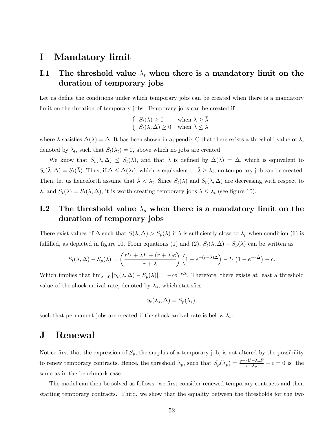### I Mandatory limit

## I.1 The threshold value  $\lambda_t$  when there is a mandatory limit on the duration of temporary jobs

Let us define the conditions under which temporary jobs can be created when there is a mandatory limit on the duration of temporary jobs. Temporary jobs can be created if

$$
\begin{cases} S_t(\lambda) \ge 0 & \text{when } \lambda \ge \bar{\lambda} \\ S_t(\lambda, \Delta) \ge 0 & \text{when } \lambda \le \bar{\lambda} \end{cases}
$$

where  $\bar{\lambda}$  satisfies  $\Delta(\bar{\lambda}) = \Delta$ . It has been shown in appendix C that there exists a threshold value of  $\lambda$ , denoted by  $\lambda_t$ , such that  $S_t(\lambda_t) = 0$ , above which no jobs are created.

We know that  $S_t(\lambda, \Delta) \leq S_t(\lambda)$ , and that  $\overline{\lambda}$  is defined by  $\Delta(\overline{\lambda}) = \Delta$ , which is equivalent to  $S_t(\bar{\lambda}, \Delta) = S_t(\bar{\lambda})$ . Thus, if  $\Delta \leq \Delta(\lambda_t)$ , which is equivalent to  $\bar{\lambda} \geq \lambda_t$ , no temporary job can be created. Then, let us henceforth assume that  $\bar{\lambda} < \lambda_t$ . Since  $S_t(\lambda)$  and  $S_t(\lambda, \Delta)$  are decreasing with respect to  $\lambda$ , and  $S_t(\bar{\lambda}) = S_t(\bar{\lambda}, \Delta)$ , it is worth creating temporary jobs  $\lambda \leq \lambda_t$  (see figure 10).

## I.2 The threshold value  $\lambda_s$  when there is a mandatory limit on the duration of temporary jobs

There exist values of  $\Delta$  such that  $S(\lambda, \Delta) > S_p(\lambda)$  if  $\lambda$  is sufficiently close to  $\lambda_p$  when condition (6) is fulfilled, as depicted in figure 10. From equations (1) and (2),  $S_t(\lambda, \Delta) - S_p(\lambda)$  can be written as

$$
S_t(\lambda, \Delta) - S_p(\lambda) = \left(\frac{rU + \lambda F + (r + \lambda)c}{r + \lambda}\right)\left(1 - e^{-(r + \lambda)\Delta}\right) - U\left(1 - e^{-r\Delta}\right) - c.
$$

Which implies that  $\lim_{\lambda\to 0} [S_t(\lambda, \Delta) - S_p(\lambda)] = -ce^{-r\Delta}$ . Therefore, there exists at least a threshold value of the shock arrival rate, denoted by  $\lambda_s$ , which statisfies

$$
S_t(\lambda_s, \Delta) = S_p(\lambda_s),
$$

such that permanent jobs are created if the shock arrival rate is below  $\lambda_s$ .

### J Renewal

Notice first that the expression of  $S_p$ , the surplus of a temporary job, is not altered by the possibility to renew temporary contracts. Hence, the threshold  $\lambda_p$ , such that  $S_p(\lambda_p) = \frac{y - rU - \lambda_p F}{r + \lambda_p} - c = 0$  is the same as in the benchmark case.

The model can then be solved as follows: we first consider renewed temporary contracts and then starting temporary contracts. Third, we show that the equality between the thresholds for the two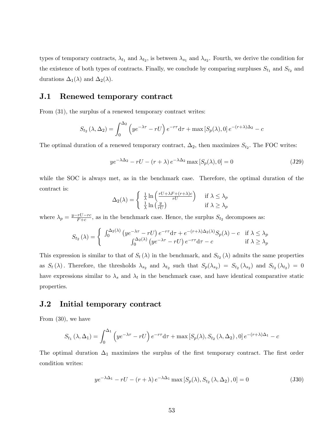types of temporary contracts,  $\lambda_{t_1}$  and  $\lambda_{t_2}$ , is between  $\lambda_{s_1}$  and  $\lambda_{s_2}$ . Fourth, we derive the condition for the existence of both types of contracts. Finally, we conclude by comparing surpluses  $S_{t_1}$  and  $S_{t_2}$  and durations  $\Delta_1(\lambda)$  and  $\Delta_2(\lambda)$ .

#### J.1 Renewed temporary contract

From  $(31)$ , the surplus of a renewed temporary contract writes:

$$
S_{t_2}(\lambda, \Delta_2) = \int_0^{\Delta_2} \left( y e^{-\lambda \tau} - rU \right) e^{-r\tau} d\tau + \max \left[ S_p(\lambda), 0 \right] e^{-(r+\lambda)\Delta_2} - c
$$

The optimal duration of a renewed temporary contract,  $\Delta_2$ , then maximizes  $S_{t_2}$ . The FOC writes:

$$
ye^{-\lambda\Delta_2} - rU - (r+\lambda)e^{-\lambda\Delta_2} \max\left[S_p(\lambda), 0\right] = 0
$$
\n(J29)

while the SOC is always met, as in the benchmark case. Therefore, the optimal duration of the contract is:

$$
\Delta_2(\lambda) = \begin{cases} \frac{1}{\lambda} \ln \left( \frac{rU + \lambda F + (r + \lambda)c}{rU} \right) & \text{if } \lambda \le \lambda_p \\ \frac{1}{\lambda} \ln \left( \frac{y}{rU} \right) & \text{if } \lambda \ge \lambda_p \end{cases}
$$

where  $\lambda_p = \frac{y - rU - rc}{F + c}$ , as in the benchmark case. Hence, the surplus  $S_{t_2}$  decomposes as:

$$
S_{t_2}(\lambda) = \begin{cases} \int_0^{\Delta_2(\lambda)} \left( y e^{-\lambda \tau} - rU \right) e^{-r\tau} d\tau + e^{-(r+\lambda)\Delta_2(\lambda)} S_p(\lambda) - c & \text{if } \lambda \le \lambda_p \\ \int_0^{\Delta_2(\lambda)} \left( y e^{-\lambda \tau} - rU \right) e^{-r\tau} d\tau - c & \text{if } \lambda \ge \lambda_p \end{cases}
$$

This expression is similar to that of  $S_t(\lambda)$  in the benchmark, and  $S_{t_2}(\lambda)$  admits the same properties as  $S_t(\lambda)$ . Therefore, the thresholds  $\lambda_{s_2}$  and  $\lambda_{t_2}$  such that  $S_p(\lambda_{s_2}) = S_{t_2}(\lambda_{s_2})$  and  $S_{t_2}(\lambda_{t_2}) = 0$ have expressions similar to  $\lambda_s$  and  $\lambda_t$  in the benchmark case, and have identical comparative static properties.

#### J.2 Initial temporary contract

From (30), we have

$$
S_{t_1}(\lambda, \Delta_1) = \int_0^{\Delta_1} \left( y e^{-\lambda \tau} - rU \right) e^{-r\tau} d\tau + \max \left[ S_p(\lambda), S_{t_2}(\lambda, \Delta_2), 0 \right] e^{-(r+\lambda)\Delta_1} - c
$$

The optimal duration  $\Delta_1$  maximizes the surplus of the first temporary contract. The first order condition writes:

$$
ye^{-\lambda\Delta_1} - rU - (r+\lambda)e^{-\lambda\Delta_1} \max\left[S_p(\lambda), S_{t_2}(\lambda, \Delta_2), 0\right] = 0
$$
\n(J30)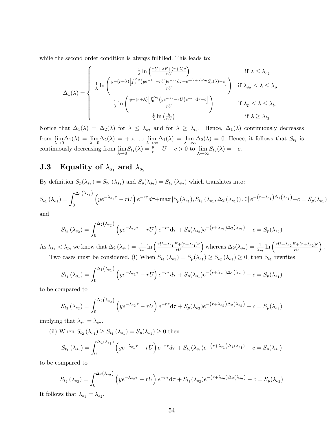while the second order condition is always fulfilled. This leads to:

$$
\Delta_1(\lambda) = \begin{cases}\n\frac{1}{\lambda} \ln \left( \frac{rU + \lambda F + (r + \lambda)c}{rU} \right) & \text{if } \lambda \leq \lambda_{s_2} \\
\frac{1}{\lambda} \ln \left( \frac{y - (r + \lambda) \left[ \int_0^{\Delta_2} (y e^{-\lambda \tau} - rU) e^{-r\tau} \mathrm{d}\tau + e^{-(r + \lambda)\Delta_2} S_p(\lambda) - c \right]}{rU} \right) & \text{if } \lambda_{s_2} \leq \lambda \leq \lambda_p \\
\frac{1}{\lambda} \ln \left( \frac{y - (r + \lambda) \left[ \int_0^{\Delta_2} (y e^{-\lambda \tau} - rU) e^{-r\tau} \mathrm{d}\tau - c \right]}{rU} \right) & \text{if } \lambda_p \leq \lambda \leq \lambda_{t_2} \\
\frac{1}{\lambda} \ln \left( \frac{y}{rU} \right) & \text{if } \lambda \geq \lambda_{t_2}\n\end{cases}
$$

Notice that  $\Delta_1(\lambda) = \Delta_2(\lambda)$  for  $\lambda \leq \lambda_{s_2}$  and for  $\lambda \geq \lambda_{t_2}$ . Hence,  $\Delta_1(\lambda)$  continuously decreases from lim  $\lambda \rightarrow 0$  $\Delta_1(\lambda) = \lim_{\lambda \to 0}$  $\lim_{\lambda \to 0} \Delta_2(\lambda) = +\infty$  to  $\lim_{\lambda \to \infty}$  $\Delta_1(\lambda) = \lim$  $\lim_{\lambda \to \infty} \Delta_2(\lambda) = 0$ . Hence, it follows that  $S_{t_1}$  is continuously decreasing from lim  $\lim_{\lambda \to 0} S_{t_1}(\lambda) = \frac{y}{r} - U - c > 0$  to  $\lim_{\lambda \to \infty} S_{t_2}(\lambda) = -c$ .

### **J.3** Equality of  $\lambda_{s_1}$  and  $\lambda_{s_2}$

By definition  $S_p(\lambda_{s_1}) = S_{t_1}(\lambda_{s_1})$  and  $S_p(\lambda_{s_2}) = S_{t_2}(\lambda_{s_2})$  which translates into:

$$
S_{t_1}(\lambda_{s_1}) = \int_0^{\Delta_1(\lambda_{s_1})} \left( y e^{-\lambda_{s_1} \tau} - r U \right) e^{-r\tau} d\tau + \max \left[ S_p(\lambda_{s_1}), S_{t_2}(\lambda_{s_1}, \Delta_2(\lambda_{s_1})), 0 \right] e^{-\left( r + \lambda_{s_1} \right) \Delta_1(\lambda_{s_1})} - c = S_p(\lambda_{s_1})
$$

and

$$
S_{t_2} (\lambda_{s_2}) = \int_0^{\Delta_2(\lambda_{s_2})} \left( y e^{-\lambda_{s_2} \tau} - r U \right) e^{-r \tau} d\tau + S_p(\lambda_{s_2}) e^{-\left( r + \lambda_{s_2} \right) \Delta_2(\lambda_{s_2})} - c = S_p(\lambda_{s_2})
$$

As  $\lambda_{s_1} < \lambda_p$ , we know that  $\Delta_2(\lambda_{s_1}) = \frac{1}{\lambda_{s_1}} \ln \left( \frac{rU + \lambda_{s_1}F + (r + \lambda_{s_1})c}{rU} \right)$  whereas  $\Delta_2(\lambda_{s_2}) = \frac{1}{\lambda_{s_2}} \ln \left( \frac{rU + \lambda_{s_2}F + (r + \lambda_{s_2})c}{rU} \right)$ .

Two cases must be considered. (i) When  $S_{t_1}(\lambda_{s_1}) = S_p(\lambda_{s_1}) \ge S_{t_2}(\lambda_{s_1}) \ge 0$ , then  $S_{t_1}$  rewrites

$$
S_{t_1}(\lambda_{s_1}) = \int_0^{\Delta_1(\lambda_{s_1})} \left( y e^{-\lambda_{s_1} \tau} - r U \right) e^{-r\tau} d\tau + S_p(\lambda_{s_1}) e^{-\left(r + \lambda_{s_1}\right) \Delta_1(\lambda_{s_1})} - c = S_p(\lambda_{s_1})
$$

to be compared to

$$
S_{t_2} (\lambda_{s_2}) = \int_0^{\Delta_2(\lambda_{s_2})} \left( y e^{-\lambda_{s_2} \tau} - r U \right) e^{-r \tau} d\tau + S_p(\lambda_{s_2}) e^{-\left( r + \lambda_{s_2} \right) \Delta_2(\lambda_{s_2})} - c = S_p(\lambda_{s_2})
$$

implying that  $\lambda_{s_1} = \lambda_{s_2}$ .

(ii) When  $S_{t_2}(\lambda_{s_1}) \geq S_{t_1}(\lambda_{s_1}) = S_p(\lambda_{s_1}) \geq 0$  then

$$
S_{t_1}(\lambda_{s_1}) = \int_0^{\Delta_1(\lambda_{s_1})} \left( y e^{-\lambda_{s_1} \tau} - r U \right) e^{-r\tau} d\tau + S_{t_2}(\lambda_{s_1}) e^{-(r+\lambda_{s_1})\Delta_1(\lambda_{s_1})} - c = S_p(\lambda_{s_1})
$$

to be compared to

$$
S_{t_2}(\lambda_{s_2}) = \int_0^{\Delta_2(\lambda_{s_2})} \left( y e^{-\lambda_{s_2} \tau} - rU \right) e^{-r\tau} d\tau + S_{t_1}(\lambda_{s_2}) e^{-(r+\lambda_{s_2})\Delta_2(\lambda_{s_2})} - c = S_p(\lambda_{s_2})
$$

It follows that  $\lambda_{s_1} = \lambda_{s_2}$ .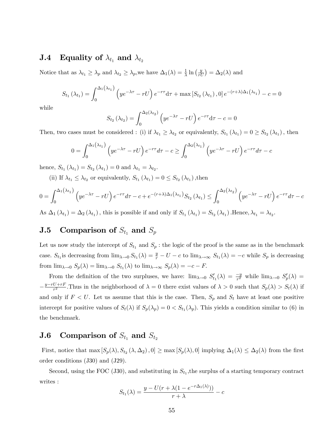### **J.4** Equality of  $\lambda_{t_1}$  and  $\lambda_{t_2}$

Notice that as  $\lambda_{t_1} \geq \lambda_p$  and  $\lambda_{t_2} \geq \lambda_p$ , we have  $\Delta_1(\lambda) = \frac{1}{\lambda} \ln \left( \frac{y}{rU} \right) = \Delta_2(\lambda)$  and

$$
S_{t_1}(\lambda_{t_1}) = \int_0^{\Delta_1(\lambda_{t_1})} \left( y e^{-\lambda \tau} - r U \right) e^{-r\tau} d\tau + \max \left[ S_{t_2}(\lambda_{t_1}), 0 \right] e^{-(r+\lambda)\Delta_1(\lambda_{t_1})} - c = 0
$$

while

$$
S_{t_2}(\lambda_{t_2}) = \int_0^{\Delta_2(\lambda_{t_2})} \left( y e^{-\lambda \tau} - rU \right) e^{-r\tau} d\tau - c = 0
$$

Then, two cases must be considered : (i) if  $\lambda_{t_1} \geq \lambda_{t_2}$  or equivalently,  $S_{t_1}(\lambda_{t_1}) = 0 \geq S_{t_2}(\lambda_{t_1})$ , then

$$
0 = \int_0^{\Delta_1(\lambda_{t_1})} \left( y e^{-\lambda \tau} - rU \right) e^{-r\tau} d\tau - c \ge \int_0^{\Delta_2(\lambda_{t_1})} \left( y e^{-\lambda \tau} - rU \right) e^{-r\tau} d\tau - c
$$

hence,  $S_{t_1}(\lambda_{t_1}) = S_{t_2}(\lambda_{t_1}) = 0$  and  $\lambda_{t_1} = \lambda_{t_2}$ .

(ii) If  $\lambda_{t_1} \leq \lambda_{t_2}$  or equivalently,  $S_{t_1}(\lambda_{t_1}) = 0 \leq S_{t_2}(\lambda_{t_1})$ , then

$$
0 = \int_0^{\Delta_1(\lambda_{t_1})} \left( y e^{-\lambda \tau} - rU \right) e^{-r\tau} d\tau - c + e^{-(r+\lambda)\Delta_1(\lambda_{t_1})} S_{t_2}(\lambda_{t_1}) \le \int_0^{\Delta_2(\lambda_{t_2})} \left( y e^{-\lambda \tau} - rU \right) e^{-r\tau} d\tau - c
$$

As  $\Delta_1(\lambda_{t_1}) = \Delta_2(\lambda_{t_1})$ , this is possible if and only if  $S_{t_1}(\lambda_{t_1}) = S_{t_2}(\lambda_{t_1})$ . Hence,  $\lambda_{t_1} = \lambda_{t_2}$ .

### **J.5** Comparison of  $S_{t_1}$  and  $S_p$

Let us now study the intercept of  $S_{t_1}$  and  $S_p$ : the logic of the proof is the same as in the benchmark case.  $S_{t_1}$  is decreasing from  $\lim_{\lambda\to 0} S_{t_1}(\lambda) = \frac{y}{r} - U - c$  to  $\lim_{\lambda\to\infty} S_{t_1}(\lambda) = -c$  while  $S_p$  is decreasing from  $\lim_{\lambda \to 0} S_p(\lambda) = \lim_{\lambda \to 0} S_{t_1}(\lambda)$  to  $\lim_{\lambda \to \infty} S_p(\lambda) = -c - F$ .

From the definition of the two surpluses, we have:  $\lim_{\lambda\to 0} S'_{t_1}(\lambda) = \frac{-y}{r^2}$  while  $\lim_{\lambda\to 0} S'_{p}(\lambda) =$  $-\frac{y-rU+rF}{r^2}$ . Thus in the neighborhood of  $\lambda = 0$  there exist values of  $\lambda > 0$  such that  $S_p(\lambda) > S_t(\lambda)$  if and only if  $F < U$ . Let us assume that this is the case. Then,  $S_p$  and  $S_t$  have at least one positive intercept for positive values of  $S_t(\lambda)$  if  $S_p(\lambda_p) = 0 < S_{t_1}(\lambda_p)$ . This yields a condition similar to (6) in the benchmark.

### **J.6** Comparison of  $S_{t_1}$  and  $S_{t_2}$

First, notice that  $\max [S_p(\lambda), S_{t_2}(\lambda, \Delta_2), 0] \ge \max [S_p(\lambda), 0]$  implying  $\Delta_1(\lambda) \le \Delta_2(\lambda)$  from the first order conditions (J30) and (J29).

Second, using the FOC (J30), and substituting in  $S_{t_1}$ , the surplus of a starting temporary contract writes :

$$
S_{t_1}(\lambda) = \frac{y - U(r + \lambda(1 - e^{-r\Delta_1(\lambda)}))}{r + \lambda} - c
$$